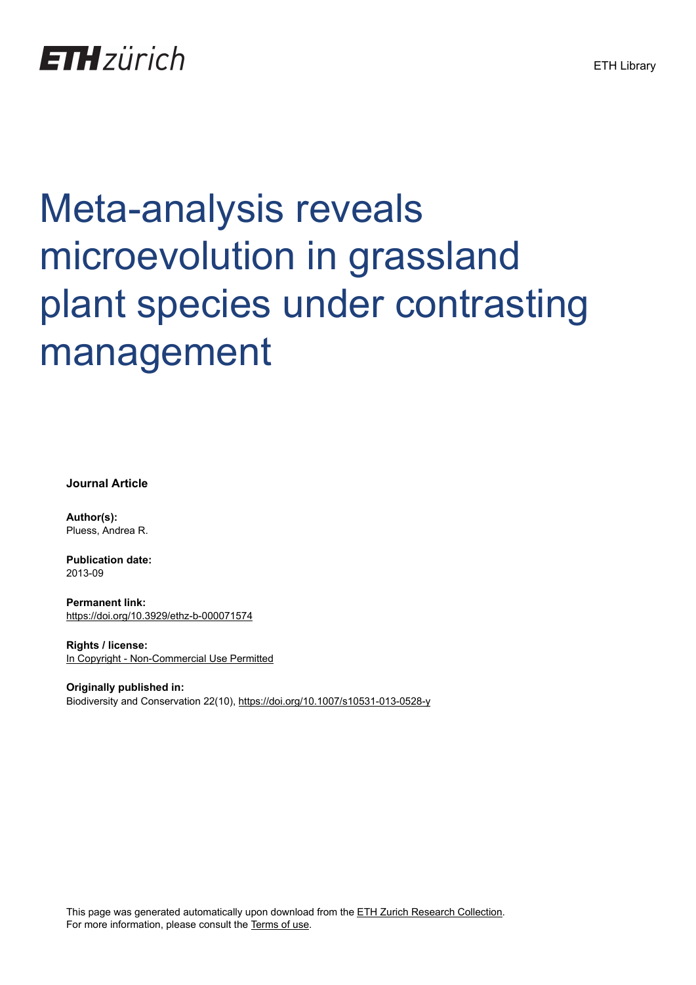# Meta-analysis reveals microevolution in grassland plant species under contrasting management

**Journal Article**

**Author(s):** Pluess, Andrea R.

**Publication date:** 2013-09

**Permanent link:** <https://doi.org/10.3929/ethz-b-000071574>

**Rights / license:** [In Copyright - Non-Commercial Use Permitted](http://rightsstatements.org/page/InC-NC/1.0/)

**Originally published in:** Biodiversity and Conservation 22(10),<https://doi.org/10.1007/s10531-013-0528-y>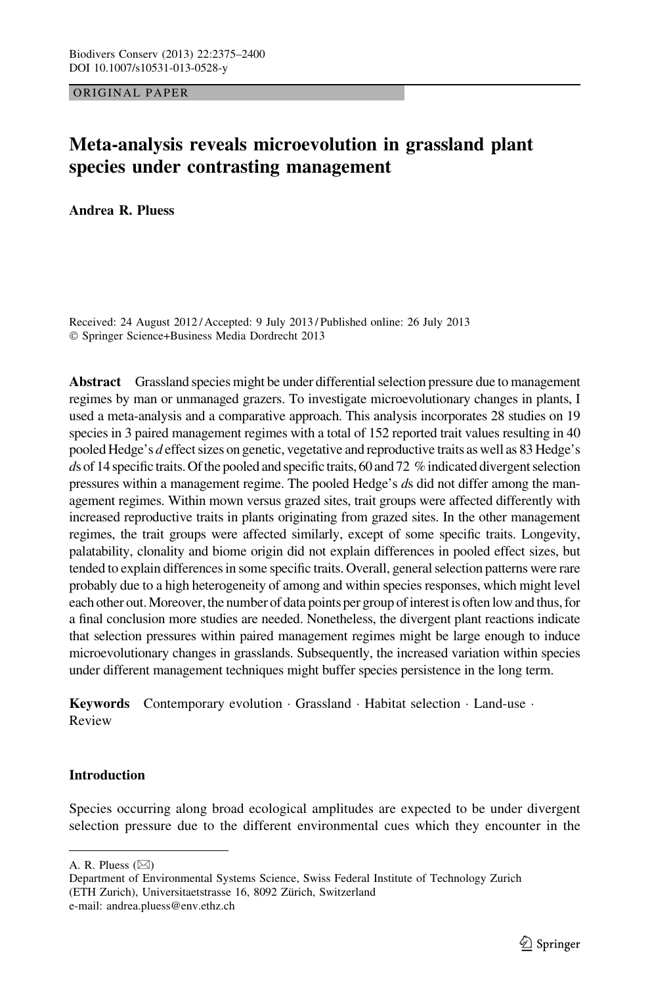ORIGINAL PAPER

# Meta-analysis reveals microevolution in grassland plant species under contrasting management

Andrea R. Pluess

Received: 24 August 2012 / Accepted: 9 July 2013 / Published online: 26 July 2013 - Springer Science+Business Media Dordrecht 2013

Abstract Grassland species might be under differential selection pressure due to management regimes by man or unmanaged grazers. To investigate microevolutionary changes in plants, I used a meta-analysis and a comparative approach. This analysis incorporates 28 studies on 19 species in 3 paired management regimes with a total of 152 reported trait values resulting in 40 pooled Hedge's d effect sizes on genetic, vegetative and reproductive traits as well as 83 Hedge's ds of 14 specific traits. Of the pooled and specific traits, 60 and 72  $%$  indicated divergent selection pressures within a management regime. The pooled Hedge's ds did not differ among the management regimes. Within mown versus grazed sites, trait groups were affected differently with increased reproductive traits in plants originating from grazed sites. In the other management regimes, the trait groups were affected similarly, except of some specific traits. Longevity, palatability, clonality and biome origin did not explain differences in pooled effect sizes, but tended to explain differences in some specific traits. Overall, general selection patterns were rare probably due to a high heterogeneity of among and within species responses, which might level each other out. Moreover, the number of data points per group of interest is often low and thus, for a final conclusion more studies are needed. Nonetheless, the divergent plant reactions indicate that selection pressures within paired management regimes might be large enough to induce microevolutionary changes in grasslands. Subsequently, the increased variation within species under different management techniques might buffer species persistence in the long term.

Keywords Contemporary evolution · Grassland · Habitat selection · Land-use · Review

# Introduction

Species occurring along broad ecological amplitudes are expected to be under divergent selection pressure due to the different environmental cues which they encounter in the

A. R. Pluess  $(\boxtimes)$ 

Department of Environmental Systems Science, Swiss Federal Institute of Technology Zurich (ETH Zurich), Universitaetstrasse 16, 8092 Zürich, Switzerland

e-mail: andrea.pluess@env.ethz.ch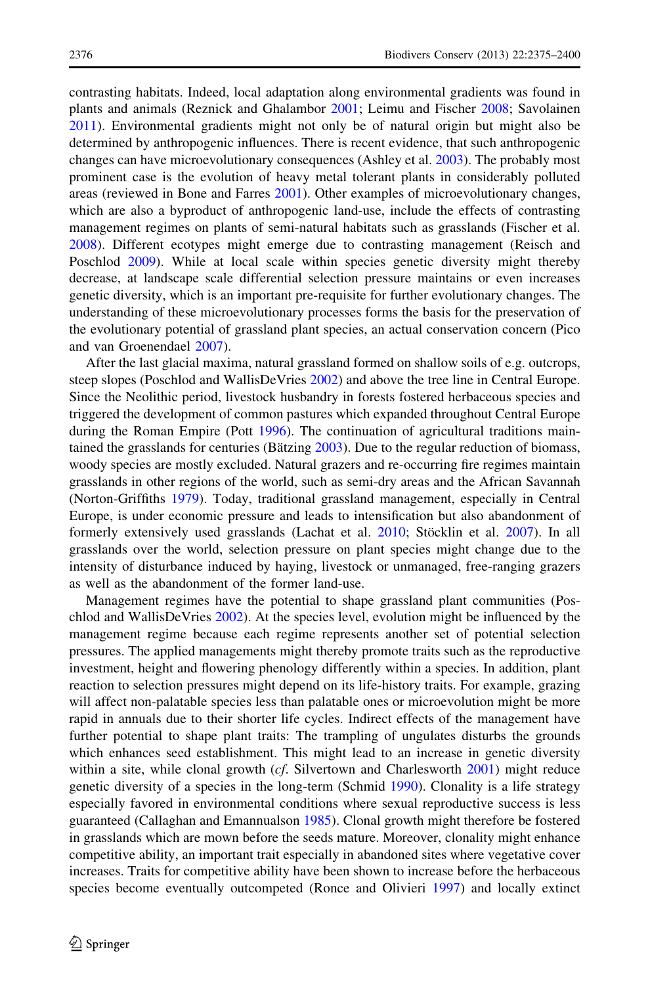contrasting habitats. Indeed, local adaptation along environmental gradients was found in plants and animals (Reznick and Ghalambor [2001;](#page-25-0) Leimu and Fischer [2008](#page-24-0); Savolainen [2011\)](#page-25-0). Environmental gradients might not only be of natural origin but might also be determined by anthropogenic influences. There is recent evidence, that such anthropogenic changes can have microevolutionary consequences (Ashley et al. [2003\)](#page-24-0). The probably most prominent case is the evolution of heavy metal tolerant plants in considerably polluted areas (reviewed in Bone and Farres [2001\)](#page-24-0). Other examples of microevolutionary changes, which are also a byproduct of anthropogenic land-use, include the effects of contrasting management regimes on plants of semi-natural habitats such as grasslands (Fischer et al. [2008\)](#page-24-0). Different ecotypes might emerge due to contrasting management (Reisch and Poschlod [2009](#page-25-0)). While at local scale within species genetic diversity might thereby decrease, at landscape scale differential selection pressure maintains or even increases genetic diversity, which is an important pre-requisite for further evolutionary changes. The understanding of these microevolutionary processes forms the basis for the preservation of the evolutionary potential of grassland plant species, an actual conservation concern (Pico and van Groenendael [2007](#page-25-0)).

After the last glacial maxima, natural grassland formed on shallow soils of e.g. outcrops, steep slopes (Poschlod and WallisDeVries [2002\)](#page-25-0) and above the tree line in Central Europe. Since the Neolithic period, livestock husbandry in forests fostered herbaceous species and triggered the development of common pastures which expanded throughout Central Europe during the Roman Empire (Pott [1996\)](#page-25-0). The continuation of agricultural traditions maintained the grasslands for centuries (Bätzing  $2003$ ). Due to the regular reduction of biomass, woody species are mostly excluded. Natural grazers and re-occurring fire regimes maintain grasslands in other regions of the world, such as semi-dry areas and the African Savannah (Norton-Griffiths [1979\)](#page-25-0). Today, traditional grassland management, especially in Central Europe, is under economic pressure and leads to intensification but also abandonment of formerly extensively used grasslands (Lachat et al. [2010](#page-24-0); Stöcklin et al. [2007](#page-25-0)). In all grasslands over the world, selection pressure on plant species might change due to the intensity of disturbance induced by haying, livestock or unmanaged, free-ranging grazers as well as the abandonment of the former land-use.

Management regimes have the potential to shape grassland plant communities (Poschlod and WallisDeVries [2002\)](#page-25-0). At the species level, evolution might be influenced by the management regime because each regime represents another set of potential selection pressures. The applied managements might thereby promote traits such as the reproductive investment, height and flowering phenology differently within a species. In addition, plant reaction to selection pressures might depend on its life-history traits. For example, grazing will affect non-palatable species less than palatable ones or microevolution might be more rapid in annuals due to their shorter life cycles. Indirect effects of the management have further potential to shape plant traits: The trampling of ungulates disturbs the grounds which enhances seed establishment. This might lead to an increase in genetic diversity within a site, while clonal growth (cf. Silvertown and Charlesworth [2001\)](#page-25-0) might reduce genetic diversity of a species in the long-term (Schmid [1990\)](#page-25-0). Clonality is a life strategy especially favored in environmental conditions where sexual reproductive success is less guaranteed (Callaghan and Emannualson [1985](#page-24-0)). Clonal growth might therefore be fostered in grasslands which are mown before the seeds mature. Moreover, clonality might enhance competitive ability, an important trait especially in abandoned sites where vegetative cover increases. Traits for competitive ability have been shown to increase before the herbaceous species become eventually outcompeted (Ronce and Olivieri [1997](#page-25-0)) and locally extinct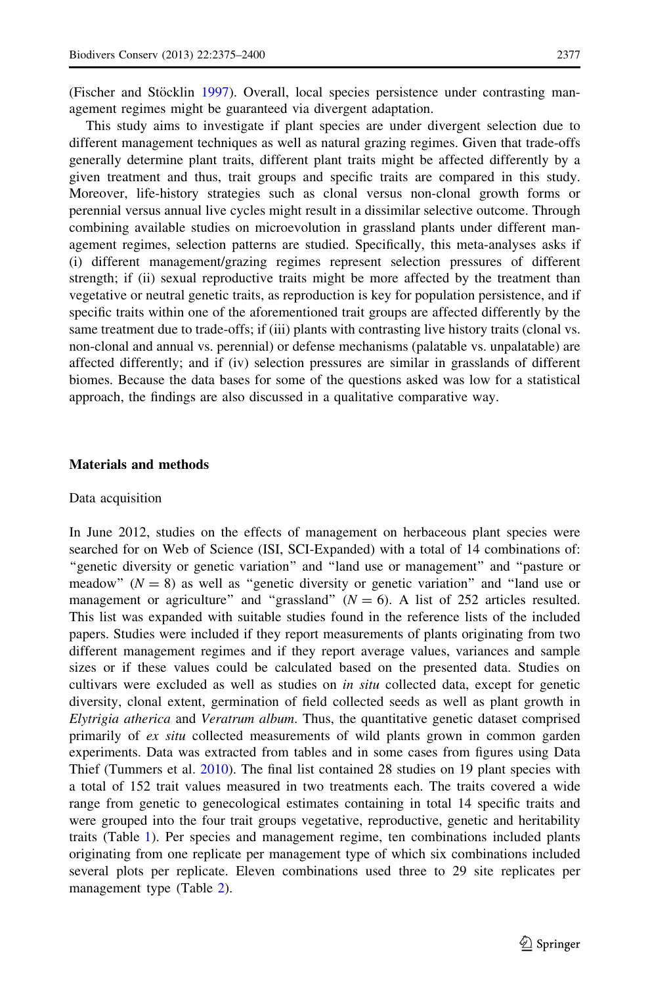(Fischer and Stöcklin [1997\)](#page-24-0). Overall, local species persistence under contrasting management regimes might be guaranteed via divergent adaptation.

This study aims to investigate if plant species are under divergent selection due to different management techniques as well as natural grazing regimes. Given that trade-offs generally determine plant traits, different plant traits might be affected differently by a given treatment and thus, trait groups and specific traits are compared in this study. Moreover, life-history strategies such as clonal versus non-clonal growth forms or perennial versus annual live cycles might result in a dissimilar selective outcome. Through combining available studies on microevolution in grassland plants under different management regimes, selection patterns are studied. Specifically, this meta-analyses asks if (i) different management/grazing regimes represent selection pressures of different strength; if (ii) sexual reproductive traits might be more affected by the treatment than vegetative or neutral genetic traits, as reproduction is key for population persistence, and if specific traits within one of the aforementioned trait groups are affected differently by the same treatment due to trade-offs; if (iii) plants with contrasting live history traits (clonal vs. non-clonal and annual vs. perennial) or defense mechanisms (palatable vs. unpalatable) are affected differently; and if (iv) selection pressures are similar in grasslands of different biomes. Because the data bases for some of the questions asked was low for a statistical approach, the findings are also discussed in a qualitative comparative way.

# Materials and methods

# Data acquisition

In June 2012, studies on the effects of management on herbaceous plant species were searched for on Web of Science (ISI, SCI-Expanded) with a total of 14 combinations of: ''genetic diversity or genetic variation'' and ''land use or management'' and ''pasture or meadow"  $(N = 8)$  as well as "genetic diversity or genetic variation" and "land use or management or agriculture" and "grassland"  $(N = 6)$ . A list of 252 articles resulted. This list was expanded with suitable studies found in the reference lists of the included papers. Studies were included if they report measurements of plants originating from two different management regimes and if they report average values, variances and sample sizes or if these values could be calculated based on the presented data. Studies on cultivars were excluded as well as studies on in situ collected data, except for genetic diversity, clonal extent, germination of field collected seeds as well as plant growth in Elytrigia atherica and Veratrum album. Thus, the quantitative genetic dataset comprised primarily of ex situ collected measurements of wild plants grown in common garden experiments. Data was extracted from tables and in some cases from figures using Data Thief (Tummers et al. [2010](#page-26-0)). The final list contained 28 studies on 19 plant species with a total of 152 trait values measured in two treatments each. The traits covered a wide range from genetic to genecological estimates containing in total 14 specific traits and were grouped into the four trait groups vegetative, reproductive, genetic and heritability traits (Table [1](#page-4-0)). Per species and management regime, ten combinations included plants originating from one replicate per management type of which six combinations included several plots per replicate. Eleven combinations used three to 29 site replicates per management type (Table [2\)](#page-5-0).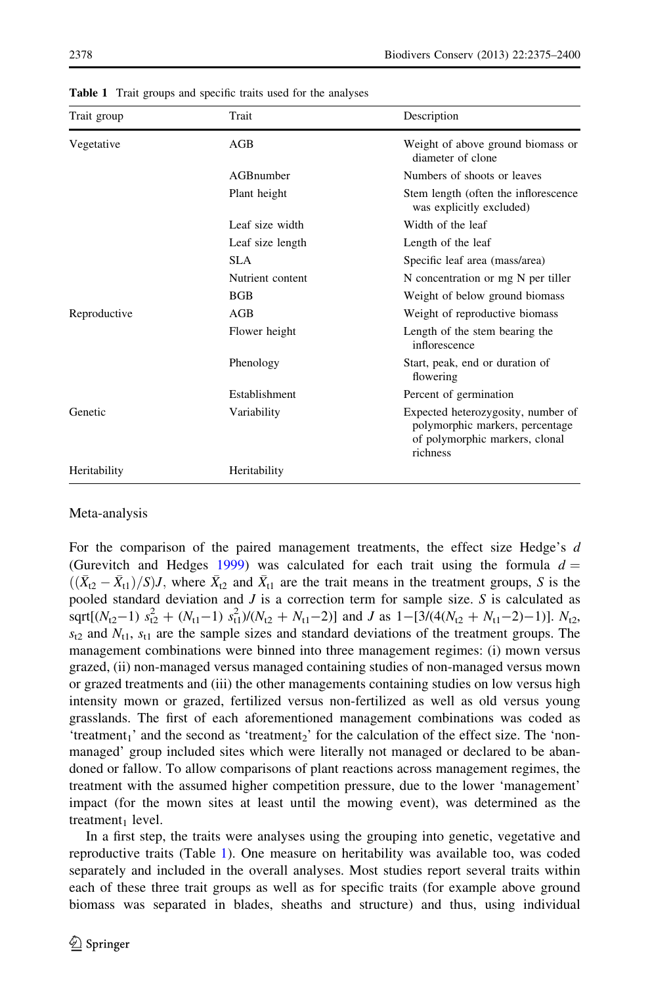| Trait group  | Trait            | Description                                                                                                         |
|--------------|------------------|---------------------------------------------------------------------------------------------------------------------|
| Vegetative   | AGB              | Weight of above ground biomass or<br>diameter of clone                                                              |
|              | AGBnumber        | Numbers of shoots or leaves                                                                                         |
|              | Plant height     | Stem length (often the inflorescence<br>was explicitly excluded)                                                    |
|              | Leaf size width  | Width of the leaf                                                                                                   |
|              | Leaf size length | Length of the leaf                                                                                                  |
|              | SLA              | Specific leaf area (mass/area)                                                                                      |
|              | Nutrient content | N concentration or mg N per tiller                                                                                  |
|              | <b>BGB</b>       | Weight of below ground biomass                                                                                      |
| Reproductive | AGB              | Weight of reproductive biomass                                                                                      |
|              | Flower height    | Length of the stem bearing the<br>inflorescence                                                                     |
|              | Phenology        | Start, peak, end or duration of<br>flowering                                                                        |
|              | Establishment    | Percent of germination                                                                                              |
| Genetic      | Variability      | Expected heterozygosity, number of<br>polymorphic markers, percentage<br>of polymorphic markers, clonal<br>richness |
| Heritability | Heritability     |                                                                                                                     |

<span id="page-4-0"></span>Table 1 Trait groups and specific traits used for the analyses

# Meta-analysis

For the comparison of the paired management treatments, the effect size Hedge's d (Gurevitch and Hedges [1999](#page-24-0)) was calculated for each trait using the formula  $d =$  $((\bar{X}_{t2} - \bar{X}_{t1})/S)J$ , where  $\bar{X}_{t2}$  and  $\bar{X}_{t1}$  are the trait means in the treatment groups, S is the pooled standard deviation and  $J$  is a correction term for sample size.  $S$  is calculated as sqrt[( $N_{t2}-1$ )  $s_{t2}^2 + (N_{t1}-1) s_{t1}^2)/(N_{t2} + N_{t1}-2)$ ] and *J* as  $1-[3/(4(N_{t2} + N_{t1}-2)-1)]$ .  $N_{t2}$ ,  $s_{12}$  and  $N_{11}$ ,  $s_{11}$  are the sample sizes and standard deviations of the treatment groups. The management combinations were binned into three management regimes: (i) mown versus grazed, (ii) non-managed versus managed containing studies of non-managed versus mown or grazed treatments and (iii) the other managements containing studies on low versus high intensity mown or grazed, fertilized versus non-fertilized as well as old versus young grasslands. The first of each aforementioned management combinations was coded as 'treatment<sub>1</sub>' and the second as 'treatment<sub>2</sub>' for the calculation of the effect size. The 'nonmanaged' group included sites which were literally not managed or declared to be abandoned or fallow. To allow comparisons of plant reactions across management regimes, the treatment with the assumed higher competition pressure, due to the lower 'management' impact (for the mown sites at least until the mowing event), was determined as the treatment $_1$  level.

In a first step, the traits were analyses using the grouping into genetic, vegetative and reproductive traits (Table 1). One measure on heritability was available too, was coded separately and included in the overall analyses. Most studies report several traits within each of these three trait groups as well as for specific traits (for example above ground biomass was separated in blades, sheaths and structure) and thus, using individual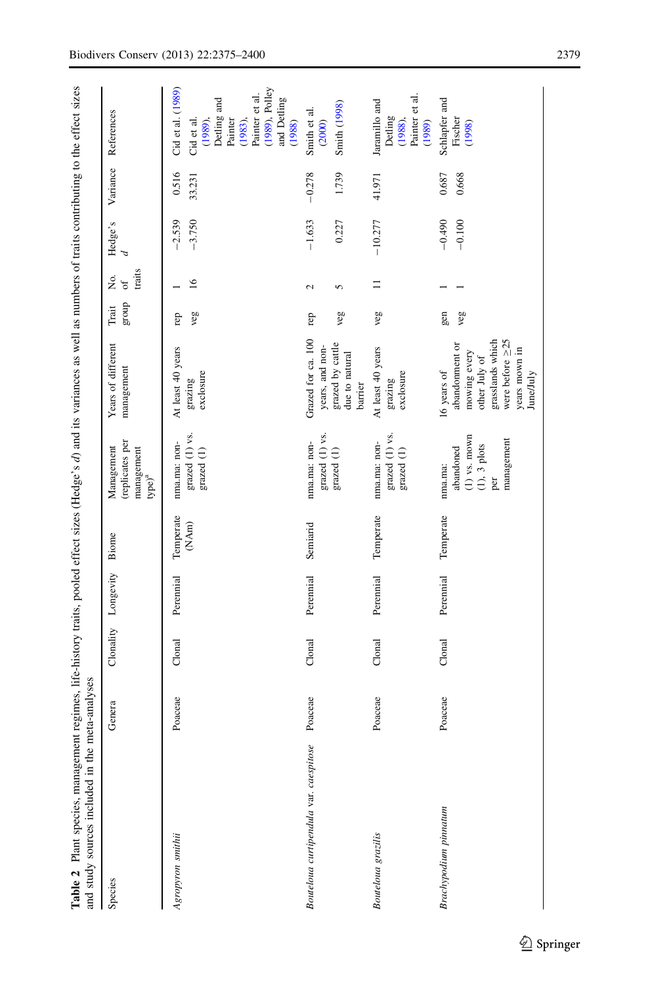<span id="page-5-0"></span>

| Table 2 Plant species, management regimes, life-history traits, pooled effect sizes (Hedge's d) and its variances as well as numbers of traits contributing to the effect sizes<br>and study sources included in the meta-analyses |         |           |           |                    |                                                                                  |                                                                                                                                           |                |                        |                      |                   |                                                                                                                                                 |
|------------------------------------------------------------------------------------------------------------------------------------------------------------------------------------------------------------------------------------|---------|-----------|-----------|--------------------|----------------------------------------------------------------------------------|-------------------------------------------------------------------------------------------------------------------------------------------|----------------|------------------------|----------------------|-------------------|-------------------------------------------------------------------------------------------------------------------------------------------------|
| Species                                                                                                                                                                                                                            | Genera  | Clonality | Longevity | Biome              | treplicates per<br>Management<br>management<br>type) <sup>a</sup>                | Years of different<br>management                                                                                                          | group<br>Trait | traits<br>Σó.<br>ð     | Hedge's<br>ᠴ         | Variance          | References                                                                                                                                      |
| Agropyron smithii                                                                                                                                                                                                                  | Poaceae | Clonal    | Perennial | Temperate<br>(NAm) | grazed (1) vs.<br>nma.ma: non-<br>grazed (1)                                     | At least 40 years<br>exclosure<br>grazing                                                                                                 | veg<br>rep     | $\frac{6}{1}$          | $-3.750$<br>$-2.539$ | 0.516<br>33.231   | $(1989)$ , Polley<br>Cid et al. (1989)<br>Painter et al.<br>and Detling<br>Detling and<br>(1989),<br>Painter<br>Cid et al.<br>(1983),<br>(1988) |
| Bouteloua curtipendula var. caespitose                                                                                                                                                                                             | Poaceae | Clonal    | Perennial | Semiarid           | grazed (1) vs.<br>nma.ma: non-<br>grazed (1)                                     | Grazed for ca. 100<br>grazed by cattle<br>years, and non-<br>due to natural<br>barrier                                                    | veg<br>rep     | $\mathbf{\Omega}$<br>5 | $-1.633$<br>0.227    | 1.739<br>$-0.278$ | <b>Smith</b> (1998)<br>Smith et al.<br>(2000)                                                                                                   |
| Bouteloua grazilis                                                                                                                                                                                                                 | Poaceae | Clonal    | Perennial | Temperate          | grazed (1) vs.<br>nma.ma: non-<br>grazed (1)                                     | At least 40 years<br>exclosure<br>grazing                                                                                                 | veg            | $\equiv$               | $-10.277$            | 41.971            | Painter et al.<br>Jaramillo and<br>Detling<br>$(1988)$ ,<br>(1989)                                                                              |
| Brachypodium pinnatum                                                                                                                                                                                                              | Poaceae | Clonal    | Perennial | Temperate          | $(1)$ vs. mown<br>management<br>$(1)$ , $3$ plots<br>abandoned<br>nma.ma:<br>per | grasslands which<br>were before $\geq 25$<br>abandonment or<br>years mown in<br>mowing every<br>other July of<br>16 years of<br>June/July | gen<br>veg     |                        | $-0.490$<br>$-0.100$ | 0.687<br>0.668    | Schlapfer and<br>Fischer<br>(1998)                                                                                                              |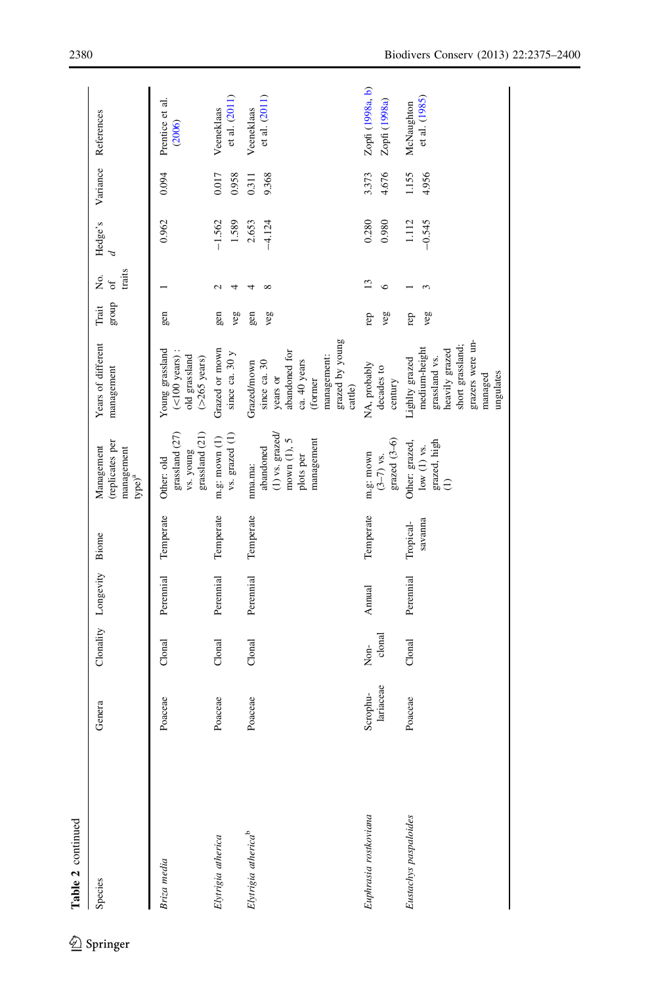| Table 2 continued               |                       |                     |                     |                      |                                                                                     |                                                                                                                                    |                |                             |                   |                |                                   |
|---------------------------------|-----------------------|---------------------|---------------------|----------------------|-------------------------------------------------------------------------------------|------------------------------------------------------------------------------------------------------------------------------------|----------------|-----------------------------|-------------------|----------------|-----------------------------------|
| Species                         | Genera                | Clonality Longevity |                     | Biome                | (replicates per<br>Management<br>management<br>type) <sup>a</sup>                   | Years of different<br>management                                                                                                   | group<br>Trait | traits<br>Σó,<br>$\sigma$ f | Hedge's           | Variance       | References                        |
| Briza media                     | Poaceae               | Clonal              | Perennial Temperate |                      | grassland (21)<br>grassland (27)<br>vs. young<br>Other: old                         | $(<$ 100 years):<br>Young grassland<br>old grassland<br>$($ >265 years $)$                                                         | gen            |                             | 0.962             | 0.094          | Prentice et al.<br>(2006)         |
| Elytrigia atherica              | Poaceae               | Conal               | Perennial           | Temperate            | vs. grazed (1)<br>m.g: mown $(1)$                                                   | Grazed or mown<br>since ca. $30y$                                                                                                  | gen<br>veg     |                             | $-1.562$<br>1.589 | 0.017<br>0.958 | et al. (2011)<br>Veeneklaas       |
| Elytrigia atherica <sup>b</sup> | Poaceae               | Clonal              | Perennial           | Temperate            | $(1)$ vs. grazed/<br>mown (1), 5<br>management<br>abandoned<br>plots per<br>nma.ma: | grazed by young<br>abandoned for<br>management:<br>ca. 40 years<br>Grazed/mown<br>since ca. 30<br>years or<br>(former<br>cattle)   | gen<br>veg     | ∞                           | $-4.124$<br>2.653 | 9.368<br>0.311 | et al. (2011)<br>Veeneklaas       |
| Euphrasia rostkoviana           | lariaceae<br>Scrophu- | clonal<br>Non-      | Annual              | Temperate            | $grased (3-6)$<br>m.g: mown<br>$(3-7)$ vs.                                          | NA, probably<br>decades to<br>century                                                                                              | veg<br>rep     | $\circ$                     | 0.280<br>0.980    | 3.373<br>4.676 | Zopfi (1998a, b)<br>Zopfi (1998a) |
| Eustachys paspaloides           | Poaceae               | Clonal              | Perennial           | savanna<br>Tropical- | grazed, high<br>Other: grazed,<br>low $(1)$ vs.<br>$\widehat{c}$                    | grazers were un-<br>short grassland;<br>medium-height<br>heavily grazed<br>grassland vs.<br>Lighlty grazed<br>ungulates<br>managed | veg<br>rep     |                             | 1.112<br>$-0.545$ | 1.155<br>4.956 | et al. (1985)<br>McNaughton       |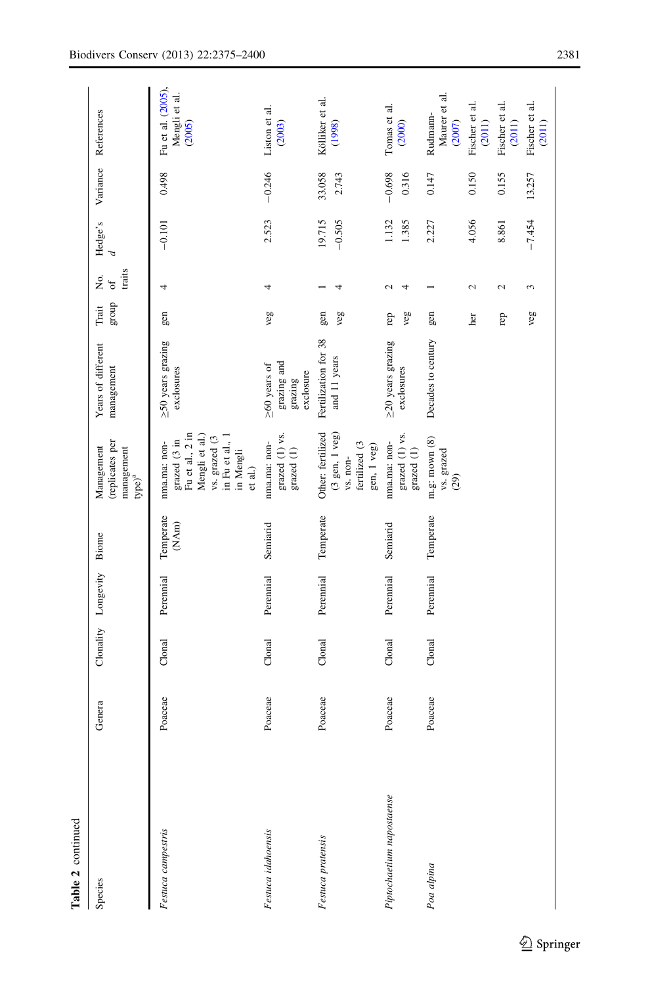| Table 2 continued         |         |                     |           |                    |                                                                                                                                                   |                                                           |                |                           |                    |                   |                                              |
|---------------------------|---------|---------------------|-----------|--------------------|---------------------------------------------------------------------------------------------------------------------------------------------------|-----------------------------------------------------------|----------------|---------------------------|--------------------|-------------------|----------------------------------------------|
| Species                   | Genera  | Clonality Longevity |           | Biome              | (replicates per<br>Management<br>management<br>$type)^a$                                                                                          | Years of different<br>management                          | dnora<br>Trait | traits<br>Σó<br>$\circ f$ | Hedge's            | Variance          | References                                   |
| Festuca campestris        | Poaceae | Clonal              | Perennial | Temperate<br>(NAm) | grazed $(3 \text{ in}$<br>Fu et al., $2 \text{ in}$<br>Mengli et al.)<br>vs. grazed (3<br>in Fu et al., 1<br>nma.ma: non-<br>in Mengli<br>et al.) | $\geq$ 50 years grazing<br>exclosures                     | gen            | 4                         | $-0.101$           | 0.498             | Fu et al. (2005).<br>Mengli et al.<br>(2005) |
| Festuca idahoensis        | Poaceae | Clonal              | Perennial | Semiarid           | grazed (1) vs.<br>nma.ma: non-<br>$\operatorname{grased}\left( 1\right)$                                                                          | grazing and<br>$\geq 60$ years of<br>exclosure<br>grazing | veg            | 4                         | 2.523              | $-0.246$          | Liston et al.<br>(2003)                      |
| Festuca pratensis         | Poaceae | Clonal              | Perennial | Temperate          | (3 gen, 1 veg)<br>Other: fertilized<br>vs. non-<br>fertilized $(3$<br>gen, 1 veg)                                                                 | Fertilization for 38<br>and 11 years                      | gen<br>veg     | 4                         | 19.715<br>$-0.505$ | 33.058<br>2.743   | Kölliker et al.<br>(1998)                    |
| Piptochaetium napostaense | Poaceae | Clonal              | Perennial | Semiarid           | $\rm grad~(1)$ vs. $\rm grad~(1)$<br>nma.ma: non-                                                                                                 | $\geq$ 20 years grazing<br>exclosures                     | veg<br>rep     | 2<br>4                    | 1.132<br>1.385     | $-0.698$<br>0.316 | Tomas et al.<br>(2000)                       |
| Poa alpina                | Poaceae | Clonal              | Perennial | Temperate          | m.g: mown $(8)$<br>vs. grazed<br>(29)                                                                                                             | Decades to century                                        | gen            |                           | 2.227              | 0.147             | Maurer et al.<br>Rudmann-<br>(2007)          |
|                           |         |                     |           |                    |                                                                                                                                                   |                                                           | her            | $\mathbf{\Omega}$         | 4.056              | 0.150             | Fischer et al.<br>(2011)                     |
|                           |         |                     |           |                    |                                                                                                                                                   |                                                           | rep            | $\mathbf{C}$              | 8.861              | 0.155             | Fischer et al.<br>(2011)                     |
|                           |         |                     |           |                    |                                                                                                                                                   |                                                           | veg            | 3                         | $-7.454$           | 13.257            | Fischer et al.<br>(2011)                     |

 $\underline{\textcircled{\tiny 2}}$  Springer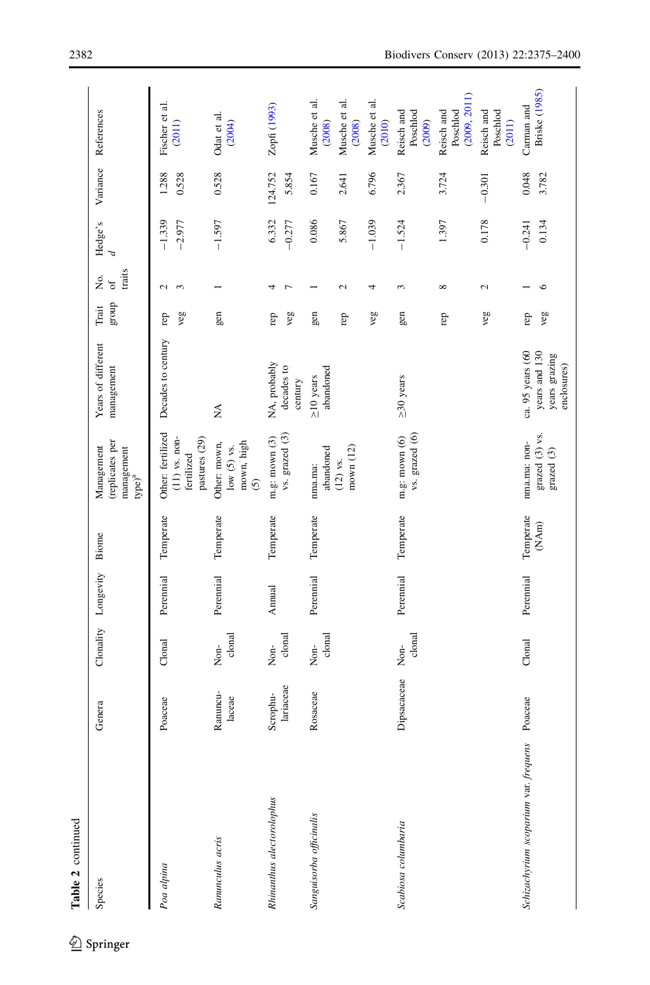| Table 2 continued                     |                       |                         |                     |                    |                                                                     |                                                                   |                                 |                           |                      |                  |                                        |
|---------------------------------------|-----------------------|-------------------------|---------------------|--------------------|---------------------------------------------------------------------|-------------------------------------------------------------------|---------------------------------|---------------------------|----------------------|------------------|----------------------------------------|
| Species                               | Genera                |                         | Clonality Longevity | Bione              | replicates per<br>Management<br>management<br>$type)^a$             | Years of different<br>management                                  | ${\rm\thinspace grad}$<br>Trait | traits<br>Σó.<br>$\sigma$ | Hedge's<br>P         | Variance         | References                             |
| Poa alpina                            | Poaceae               | Clonal                  | Perennial           | Temperate          | Other: fertilized<br>$(11)$ vs. non-<br>pastures (29)<br>fertilized | Decades to century                                                | veg<br>rep                      | $\sim$<br>$\sim$          | $-1.339$<br>$-2.977$ | 1.288<br>0.528   | Fischer et al.<br>(2011)               |
| Ranunculus acris                      | Ranuncu-<br>laceae    | clonal<br>Non-          | Perennial           | Temperate          | Other: mown,<br>mown, high<br>low (5) vs.<br>$\odot$                | $\mathbb{X}^{\mathsf{A}}$                                         | gen                             |                           | $-1.597$             | 0.528            | Odat et al.<br>(2004)                  |
| Rhinanthus alectorolophus             | lariaceae<br>Scrophu- | clonal<br>Non-          | Annual              | Temperate          | vs. grazed (3)<br>m.g: mown $(3)$                                   | NA, probably<br>decades to<br>century                             | veg<br>rep                      | Γ<br>4                    | 6.332<br>$-0.277$    | 124.752<br>5.854 | Zopfi (1993)                           |
| Sanguisorba officinalis               | Rosaceae              | clonal<br>$\frac{1}{2}$ | Perennial           | Temperate          | abandoned<br>nma.ma:                                                | abandoned<br>$\geq$ 10 years                                      | gen                             |                           | 0.086                | 0.167            | Musche et al.<br>(2008)                |
|                                       |                       |                         |                     |                    | mown (12)<br>$(12)$ vs.                                             |                                                                   | rep                             | 2                         | 5.867                | 2.641            | Musche et al.<br>(2008)                |
|                                       |                       |                         |                     |                    |                                                                     |                                                                   | veg                             | 4                         | $-1.039$             | 6.796            | Musche et al.<br>(2010)                |
| Scabiosa columbaria                   | Dipsacaceae           | clonal<br>Non-          | Perennial           | Temperate          | vs. grazed (6)<br>m.g: mown $(6)$                                   | $\geq$ 30 years                                                   | gen                             | 3                         | $-1.524$             | 2.367            | Poschlod<br>(2009)<br>Reisch and       |
|                                       |                       |                         |                     |                    |                                                                     |                                                                   | rep                             | ${}^{\circ}$              | 1.397                | 3.724            | (2009, 2011)<br>Poschlod<br>Reisch and |
|                                       |                       |                         |                     |                    |                                                                     |                                                                   | veg                             | 2                         | 0.178                | $-0.301$         | Poschlod<br>Reisch and<br>(2011)       |
| Schizachyrium scoparium var. frequens | Poaceae               | Clonal                  | Perennial           | Temperate<br>(NAm) | grazed (3) vs.<br>nma.ma: non-<br>grazed (3)                        | ca. 95 years (60<br>years and 130<br>years grazing<br>enclosures) | veg<br>rep                      | ७                         | $-0.241$<br>0.134    | 0.048<br>3.782   | Briske (1985)<br>Carman and            |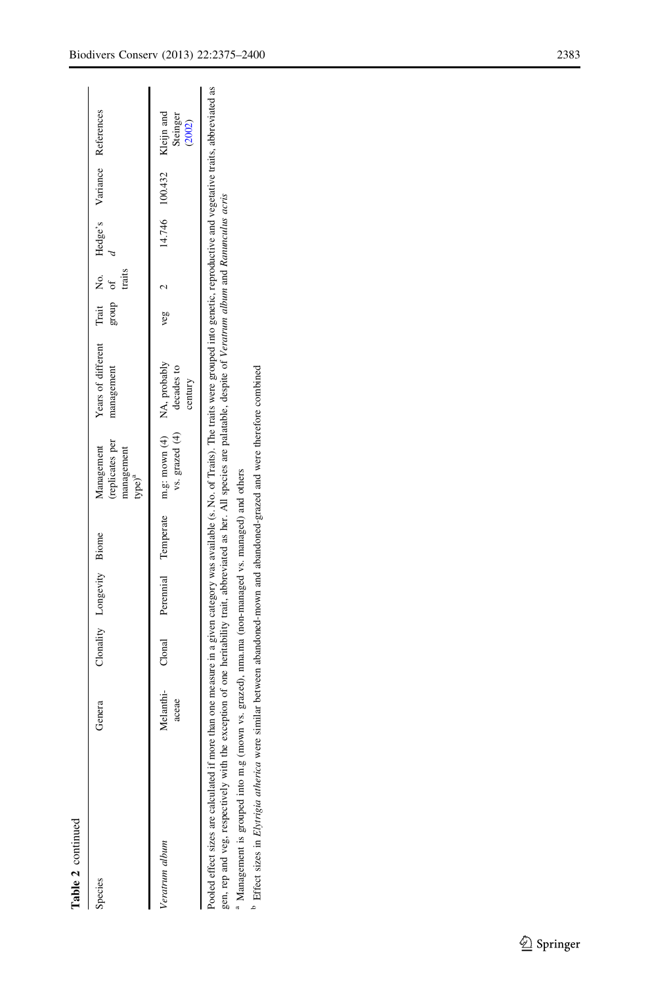| t |
|---|
|   |
|   |
|   |

| Species                                                                                                                                                                                                                                                                                                                                                                                                                                                                                                | Genera | Clonality Longevity Biome |                                     | Management<br>treplicates per<br>management<br>$type)^a$  | Years of different Trait No. Hedge's Variance References<br>management | group   | $\sigma f$<br>traits |                |                                  |
|--------------------------------------------------------------------------------------------------------------------------------------------------------------------------------------------------------------------------------------------------------------------------------------------------------------------------------------------------------------------------------------------------------------------------------------------------------------------------------------------------------|--------|---------------------------|-------------------------------------|-----------------------------------------------------------|------------------------------------------------------------------------|---------|----------------------|----------------|----------------------------------|
| Veratrum album                                                                                                                                                                                                                                                                                                                                                                                                                                                                                         | aceae  |                           | Melanthi- Clonal Peremial Temperate | m.g: mown (4) NA, probably<br>vs. grazed $(4)$ decades to | century                                                                | $veg$ 2 |                      | 14.746 100.432 | Kleijn and<br>Steinger<br>(2002) |
| Pooled effect sizes are calculated if more than one measure in a given category was available (s. No. of Traits). The traits were grouped into genetic, reproductive and vegetative traits, abbreviated as<br>gen, rep and veg, respectively with the exception of one heritability trait, abbreviated as her. All species are palatable, despite of Veratrum album and Ranunculus acris<br><sup>a</sup> Management is grouped into m.g (mown vs. grazed), nma.ma (non-managed vs. managed) and others |        |                           |                                     |                                                           |                                                                        |         |                      |                |                                  |

<sup>b</sup> Effect sizes in Elyrrigia atherica were similar between abandoned-mown and abandoned-grazed and were therefore combined Effect sizes in Elytrigia atherica were similar between abandoned-mown and abandoned-grazed and were therefore combined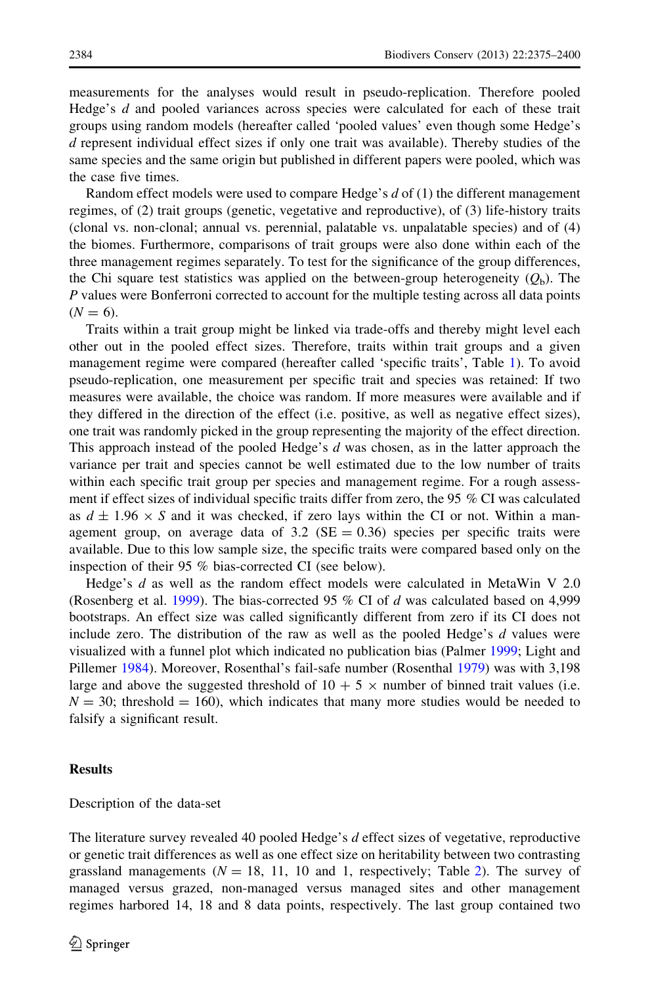measurements for the analyses would result in pseudo-replication. Therefore pooled Hedge's d and pooled variances across species were calculated for each of these trait groups using random models (hereafter called 'pooled values' even though some Hedge's d represent individual effect sizes if only one trait was available). Thereby studies of the same species and the same origin but published in different papers were pooled, which was the case five times.

Random effect models were used to compare Hedge's  $d$  of (1) the different management regimes, of (2) trait groups (genetic, vegetative and reproductive), of (3) life-history traits (clonal vs. non-clonal; annual vs. perennial, palatable vs. unpalatable species) and of (4) the biomes. Furthermore, comparisons of trait groups were also done within each of the three management regimes separately. To test for the significance of the group differences, the Chi square test statistics was applied on the between-group heterogeneity  $(Q_h)$ . The P values were Bonferroni corrected to account for the multiple testing across all data points  $(N = 6)$ .

Traits within a trait group might be linked via trade-offs and thereby might level each other out in the pooled effect sizes. Therefore, traits within trait groups and a given management regime were compared (hereafter called 'specific traits', Table [1](#page-4-0)). To avoid pseudo-replication, one measurement per specific trait and species was retained: If two measures were available, the choice was random. If more measures were available and if they differed in the direction of the effect (i.e. positive, as well as negative effect sizes), one trait was randomly picked in the group representing the majority of the effect direction. This approach instead of the pooled Hedge's d was chosen, as in the latter approach the variance per trait and species cannot be well estimated due to the low number of traits within each specific trait group per species and management regime. For a rough assessment if effect sizes of individual specific traits differ from zero, the 95 % CI was calculated as  $d \pm 1.96 \times S$  and it was checked, if zero lays within the CI or not. Within a management group, on average data of  $3.2 \text{ (SE} = 0.36)$  species per specific traits were available. Due to this low sample size, the specific traits were compared based only on the inspection of their 95 % bias-corrected CI (see below).

Hedge's d as well as the random effect models were calculated in MetaWin V 2.0 (Rosenberg et al. [1999](#page-25-0)). The bias-corrected 95  $%$  CI of d was calculated based on 4,999 bootstraps. An effect size was called significantly different from zero if its CI does not include zero. The distribution of the raw as well as the pooled Hedge's  $d$  values were visualized with a funnel plot which indicated no publication bias (Palmer [1999](#page-25-0); Light and Pillemer [1984\)](#page-24-0). Moreover, Rosenthal's fail-safe number (Rosenthal [1979](#page-25-0)) was with 3,198 large and above the suggested threshold of  $10 + 5 \times$  number of binned trait values (i.e.  $N = 30$ ; threshold = 160), which indicates that many more studies would be needed to falsify a significant result.

# **Results**

# Description of the data-set

The literature survey revealed 40 pooled Hedge's  $d$  effect sizes of vegetative, reproductive or genetic trait differences as well as one effect size on heritability between two contrasting grassland managements  $(N = 18, 11, 10, 10, 11)$ , respectively; Table [2\)](#page-5-0). The survey of managed versus grazed, non-managed versus managed sites and other management regimes harbored 14, 18 and 8 data points, respectively. The last group contained two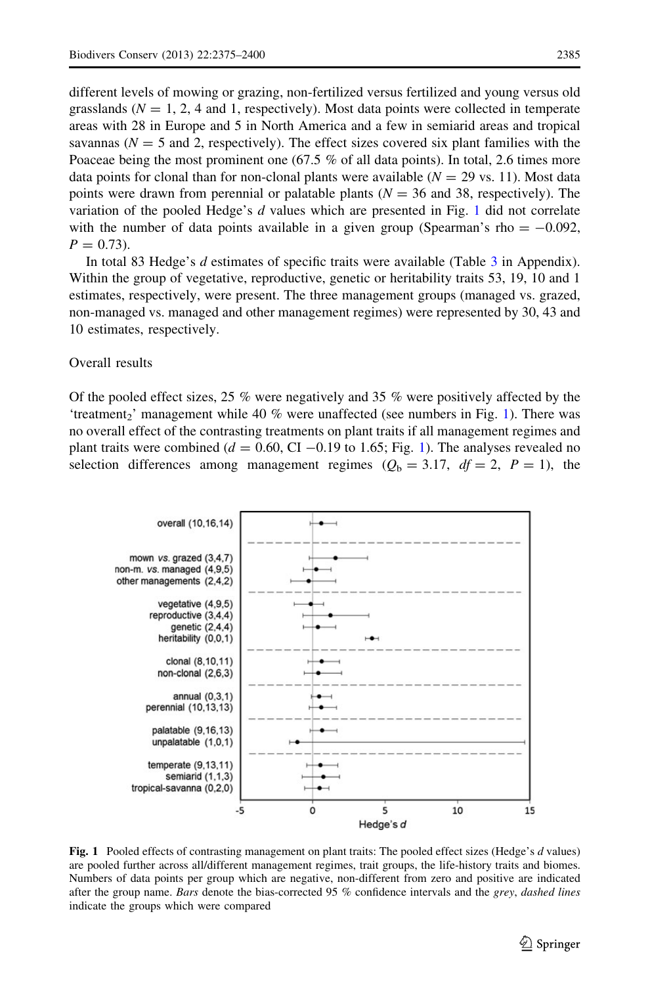<span id="page-11-0"></span>different levels of mowing or grazing, non-fertilized versus fertilized and young versus old grasslands ( $N = 1, 2, 4$  and 1, respectively). Most data points were collected in temperate areas with 28 in Europe and 5 in North America and a few in semiarid areas and tropical savannas ( $N = 5$  and 2, respectively). The effect sizes covered six plant families with the Poaceae being the most prominent one (67.5 % of all data points). In total, 2.6 times more data points for clonal than for non-clonal plants were available ( $N = 29$  vs. 11). Most data points were drawn from perennial or palatable plants  $(N = 36$  and 38, respectively). The variation of the pooled Hedge's  $d$  values which are presented in Fig. 1 did not correlate with the number of data points available in a given group (Spearman's rho  $= -0.092$ ,  $P = 0.73$ .

In total 83 Hedge's d estimates of specific traits were available (Table [3](#page-18-0) in Appendix). Within the group of vegetative, reproductive, genetic or heritability traits 53, 19, 10 and 1 estimates, respectively, were present. The three management groups (managed vs. grazed, non-managed vs. managed and other management regimes) were represented by 30, 43 and 10 estimates, respectively.

# Overall results

Of the pooled effect sizes, 25  $\%$  were negatively and 35  $\%$  were positively affected by the 'treatment<sub>2</sub>' management while 40 % were unaffected (see numbers in Fig. 1). There was no overall effect of the contrasting treatments on plant traits if all management regimes and plant traits were combined ( $d = 0.60$ , CI -0.19 to 1.65; Fig. 1). The analyses revealed no selection differences among management regimes  $(Q_b = 3.17, df = 2, P = 1)$ , the



Fig. 1 Pooled effects of contrasting management on plant traits: The pooled effect sizes (Hedge's d values) are pooled further across all/different management regimes, trait groups, the life-history traits and biomes. Numbers of data points per group which are negative, non-different from zero and positive are indicated after the group name. Bars denote the bias-corrected 95 % confidence intervals and the grey, dashed lines indicate the groups which were compared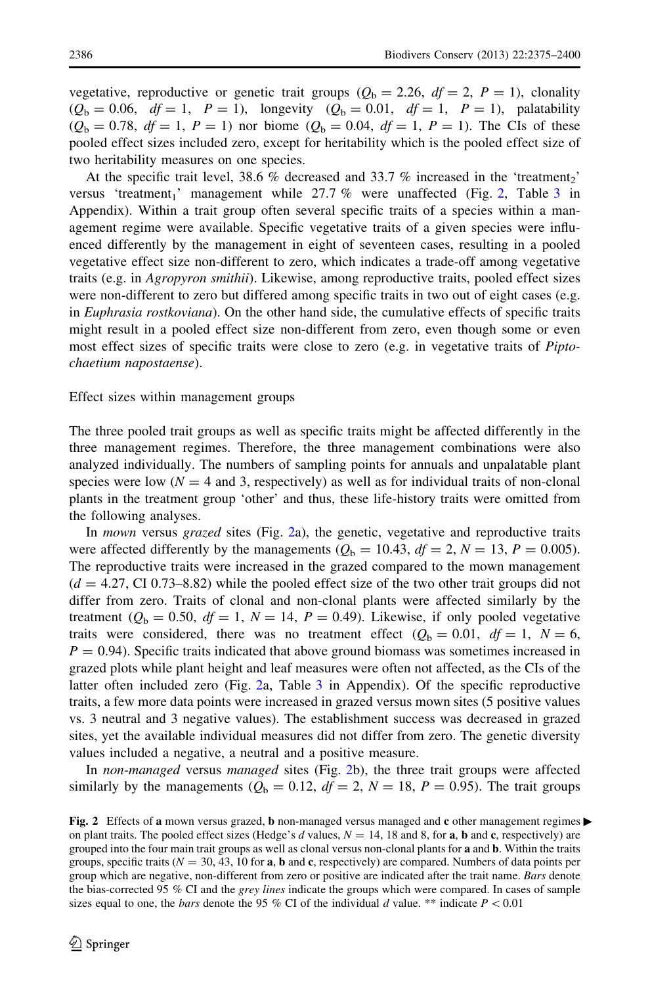<span id="page-12-0"></span>vegetative, reproductive or genetic trait groups ( $Q<sub>b</sub> = 2.26$ ,  $df = 2$ ,  $P = 1$ ), clonality  $(Q_b = 0.06, df = 1, P = 1)$ , longevity  $(Q_b = 0.01, df = 1, P = 1)$ , palatability  $(Q_b = 0.78, df = 1, P = 1)$  nor biome  $(Q_b = 0.04, df = 1, P = 1)$ . The CIs of these pooled effect sizes included zero, except for heritability which is the pooled effect size of two heritability measures on one species.

At the specific trait level, 38.6 % decreased and 33.7 % increased in the 'treatment<sub>2</sub>' versus 'treatment<sub>1</sub>' management while 27.7 % were unaffected (Fig. 2, Table [3](#page-18-0) in Appendix). Within a trait group often several specific traits of a species within a management regime were available. Specific vegetative traits of a given species were influenced differently by the management in eight of seventeen cases, resulting in a pooled vegetative effect size non-different to zero, which indicates a trade-off among vegetative traits (e.g. in Agropyron smithii). Likewise, among reproductive traits, pooled effect sizes were non-different to zero but differed among specific traits in two out of eight cases (e.g. in *Euphrasia rostkoviana*). On the other hand side, the cumulative effects of specific traits might result in a pooled effect size non-different from zero, even though some or even most effect sizes of specific traits were close to zero (e.g. in vegetative traits of *Pipto*chaetium napostaense).

#### Effect sizes within management groups

The three pooled trait groups as well as specific traits might be affected differently in the three management regimes. Therefore, the three management combinations were also analyzed individually. The numbers of sampling points for annuals and unpalatable plant species were low ( $N = 4$  and 3, respectively) as well as for individual traits of non-clonal plants in the treatment group 'other' and thus, these life-history traits were omitted from the following analyses.

In *mown* versus *grazed* sites (Fig. 2a), the genetic, vegetative and reproductive traits were affected differently by the managements  $(Q_b = 10.43, df = 2, N = 13, P = 0.005)$ . The reproductive traits were increased in the grazed compared to the mown management  $(d = 4.27, \text{CI } 0.73-8.82)$  while the pooled effect size of the two other trait groups did not differ from zero. Traits of clonal and non-clonal plants were affected similarly by the treatment ( $Q<sub>b</sub> = 0.50$ ,  $df = 1$ ,  $N = 14$ ,  $P = 0.49$ ). Likewise, if only pooled vegetative traits were considered, there was no treatment effect  $(Q_b = 0.01, df = 1, N = 6,$  $P = 0.94$ ). Specific traits indicated that above ground biomass was sometimes increased in grazed plots while plant height and leaf measures were often not affected, as the CIs of the latter often included zero (Fig. 2a, Table [3](#page-18-0) in Appendix). Of the specific reproductive traits, a few more data points were increased in grazed versus mown sites (5 positive values vs. 3 neutral and 3 negative values). The establishment success was decreased in grazed sites, yet the available individual measures did not differ from zero. The genetic diversity values included a negative, a neutral and a positive measure.

In non-managed versus managed sites (Fig. 2b), the three trait groups were affected similarly by the managements ( $Q<sub>b</sub> = 0.12$ ,  $df = 2$ ,  $N = 18$ ,  $P = 0.95$ ). The trait groups

Fig. 2 Effects of a mown versus grazed, **b** non-managed versus managed and c other management regimes  $\blacktriangleright$ on plant traits. The pooled effect sizes (Hedge's d values,  $N = 14$ , 18 and 8, for a, b and c, respectively) are grouped into the four main trait groups as well as clonal versus non-clonal plants for a and b. Within the traits groups, specific traits ( $N = 30, 43, 10$  for **a**, **b** and **c**, respectively) are compared. Numbers of data points per group which are negative, non-different from zero or positive are indicated after the trait name. Bars denote the bias-corrected 95 % CI and the grey lines indicate the groups which were compared. In cases of sample sizes equal to one, the *bars* denote the 95 % CI of the individual d value. \*\* indicate  $P < 0.01$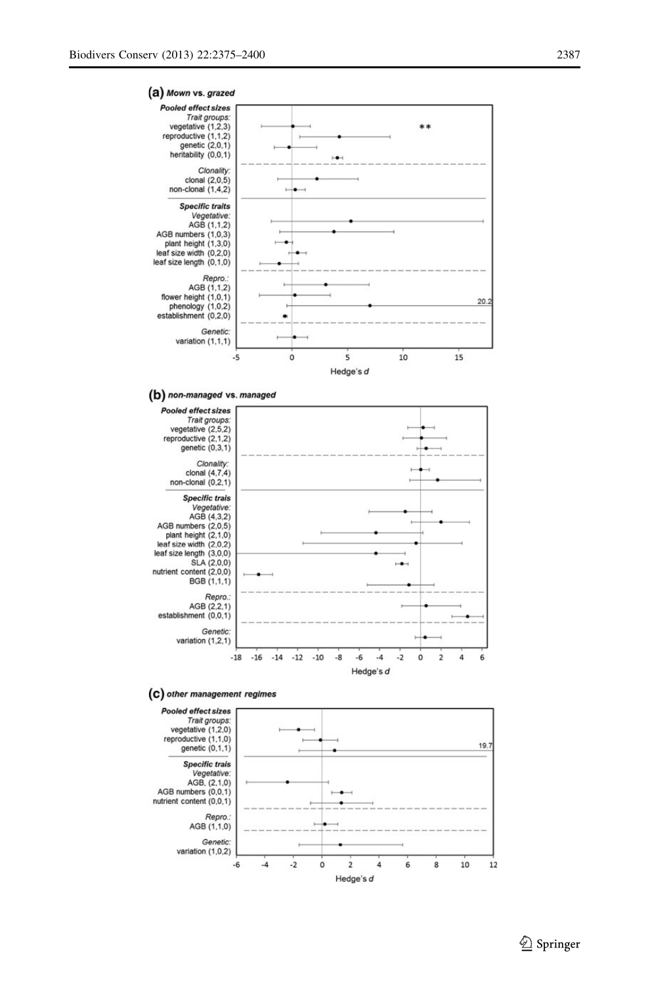

#### (b) non-managed vs. managed



#### (C) other management regimes

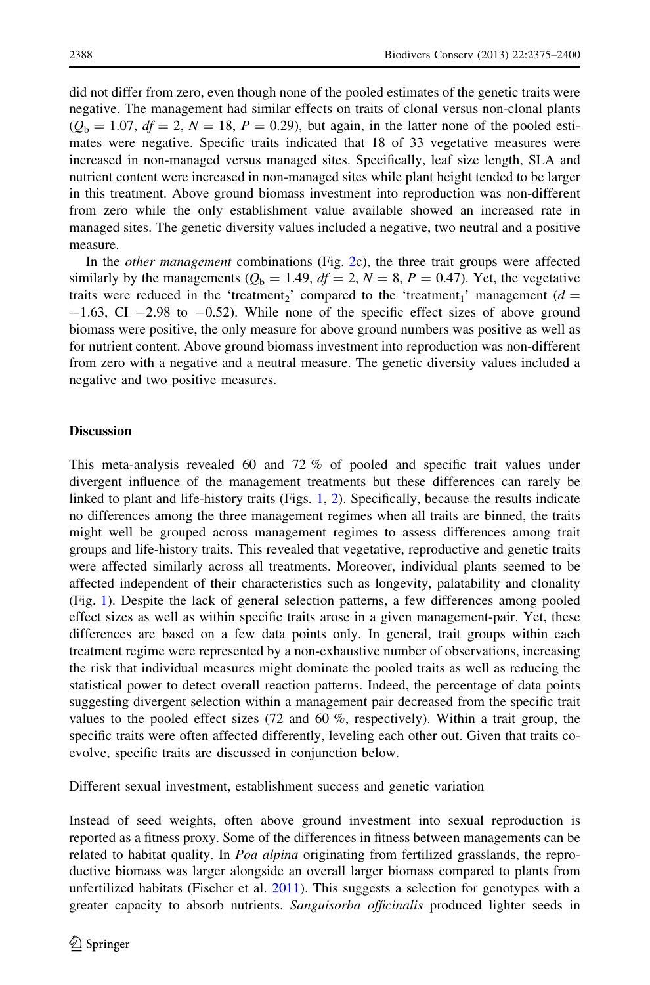did not differ from zero, even though none of the pooled estimates of the genetic traits were negative. The management had similar effects on traits of clonal versus non-clonal plants  $(Q_b = 1.07, df = 2, N = 18, P = 0.29)$ , but again, in the latter none of the pooled estimates were negative. Specific traits indicated that 18 of 33 vegetative measures were increased in non-managed versus managed sites. Specifically, leaf size length, SLA and nutrient content were increased in non-managed sites while plant height tended to be larger in this treatment. Above ground biomass investment into reproduction was non-different from zero while the only establishment value available showed an increased rate in managed sites. The genetic diversity values included a negative, two neutral and a positive measure.

In the other management combinations (Fig. [2c](#page-12-0)), the three trait groups were affected similarly by the managements ( $Q<sub>b</sub> = 1.49$ ,  $df = 2$ ,  $N = 8$ ,  $P = 0.47$ ). Yet, the vegetative traits were reduced in the 'treatment<sub>2</sub>' compared to the 'treatment<sub>1</sub>' management ( $d =$  $-1.63$ , CI  $-2.98$  to  $-0.52$ ). While none of the specific effect sizes of above ground biomass were positive, the only measure for above ground numbers was positive as well as for nutrient content. Above ground biomass investment into reproduction was non-different from zero with a negative and a neutral measure. The genetic diversity values included a negative and two positive measures.

#### **Discussion**

This meta-analysis revealed 60 and 72 % of pooled and specific trait values under divergent influence of the management treatments but these differences can rarely be linked to plant and life-history traits (Figs. [1,](#page-11-0) [2\)](#page-12-0). Specifically, because the results indicate no differences among the three management regimes when all traits are binned, the traits might well be grouped across management regimes to assess differences among trait groups and life-history traits. This revealed that vegetative, reproductive and genetic traits were affected similarly across all treatments. Moreover, individual plants seemed to be affected independent of their characteristics such as longevity, palatability and clonality (Fig. [1\)](#page-11-0). Despite the lack of general selection patterns, a few differences among pooled effect sizes as well as within specific traits arose in a given management-pair. Yet, these differences are based on a few data points only. In general, trait groups within each treatment regime were represented by a non-exhaustive number of observations, increasing the risk that individual measures might dominate the pooled traits as well as reducing the statistical power to detect overall reaction patterns. Indeed, the percentage of data points suggesting divergent selection within a management pair decreased from the specific trait values to the pooled effect sizes (72 and 60 %, respectively). Within a trait group, the specific traits were often affected differently, leveling each other out. Given that traits coevolve, specific traits are discussed in conjunction below.

Different sexual investment, establishment success and genetic variation

Instead of seed weights, often above ground investment into sexual reproduction is reported as a fitness proxy. Some of the differences in fitness between managements can be related to habitat quality. In Poa alpina originating from fertilized grasslands, the reproductive biomass was larger alongside an overall larger biomass compared to plants from unfertilized habitats (Fischer et al. [2011\)](#page-24-0). This suggests a selection for genotypes with a greater capacity to absorb nutrients. Sanguisorba officinalis produced lighter seeds in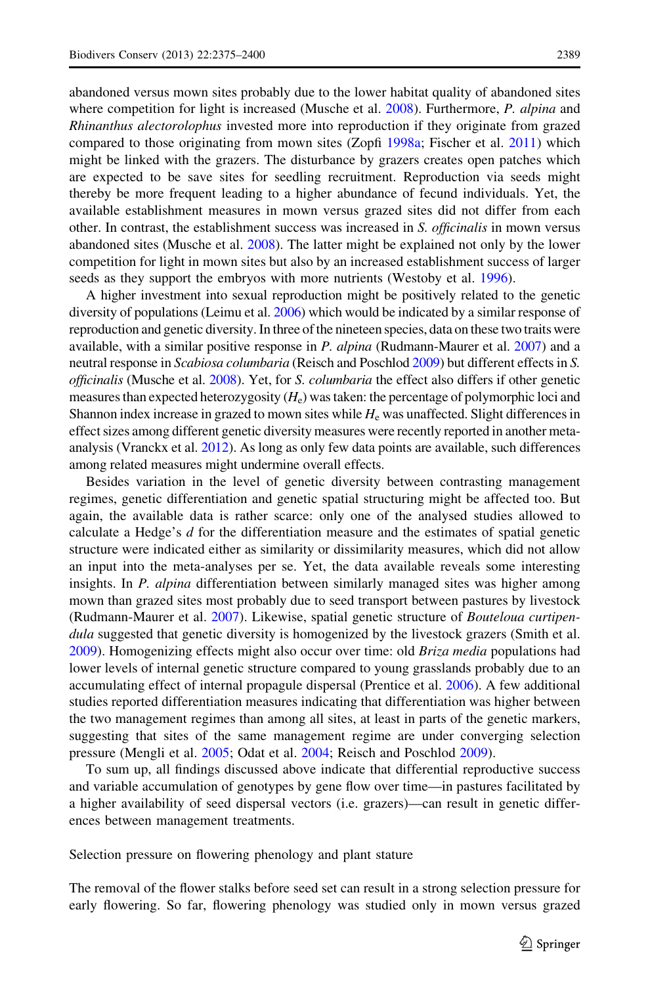abandoned versus mown sites probably due to the lower habitat quality of abandoned sites where competition for light is increased (Musche et al. [2008\)](#page-24-0). Furthermore, P. alpina and Rhinanthus alectorolophus invested more into reproduction if they originate from grazed compared to those originating from mown sites (Zopfi [1998a;](#page-26-0) Fischer et al. [2011](#page-24-0)) which might be linked with the grazers. The disturbance by grazers creates open patches which are expected to be save sites for seedling recruitment. Reproduction via seeds might thereby be more frequent leading to a higher abundance of fecund individuals. Yet, the available establishment measures in mown versus grazed sites did not differ from each other. In contrast, the establishment success was increased in S. officinalis in mown versus abandoned sites (Musche et al. [2008](#page-24-0)). The latter might be explained not only by the lower competition for light in mown sites but also by an increased establishment success of larger seeds as they support the embryos with more nutrients (Westoby et al. [1996\)](#page-26-0).

A higher investment into sexual reproduction might be positively related to the genetic diversity of populations (Leimu et al. [2006\)](#page-24-0) which would be indicated by a similar response of reproduction and genetic diversity. In three of the nineteen species, data on these two traits were available, with a similar positive response in P. alpina (Rudmann-Maurer et al. [2007](#page-25-0)) and a neutral response in Scabiosa columbaria (Reisch and Poschlod [2009](#page-25-0)) but different effects in S. officinalis (Musche et al. [2008](#page-24-0)). Yet, for S. columbaria the effect also differs if other genetic measures than expected heterozygosity  $(H_e)$  was taken: the percentage of polymorphic loci and Shannon index increase in grazed to mown sites while  $H_e$  was unaffected. Slight differences in effect sizes among different genetic diversity measures were recently reported in another metaanalysis (Vranckx et al. [2012\)](#page-26-0). As long as only few data points are available, such differences among related measures might undermine overall effects.

Besides variation in the level of genetic diversity between contrasting management regimes, genetic differentiation and genetic spatial structuring might be affected too. But again, the available data is rather scarce: only one of the analysed studies allowed to calculate a Hedge's  $d$  for the differentiation measure and the estimates of spatial genetic structure were indicated either as similarity or dissimilarity measures, which did not allow an input into the meta-analyses per se. Yet, the data available reveals some interesting insights. In *P. alpina* differentiation between similarly managed sites was higher among mown than grazed sites most probably due to seed transport between pastures by livestock (Rudmann-Maurer et al. [2007\)](#page-25-0). Likewise, spatial genetic structure of Bouteloua curtipendula suggested that genetic diversity is homogenized by the livestock grazers (Smith et al. [2009\)](#page-25-0). Homogenizing effects might also occur over time: old Briza media populations had lower levels of internal genetic structure compared to young grasslands probably due to an accumulating effect of internal propagule dispersal (Prentice et al. [2006](#page-25-0)). A few additional studies reported differentiation measures indicating that differentiation was higher between the two management regimes than among all sites, at least in parts of the genetic markers, suggesting that sites of the same management regime are under converging selection pressure (Mengli et al. [2005](#page-24-0); Odat et al. [2004;](#page-25-0) Reisch and Poschlod [2009\)](#page-25-0).

To sum up, all findings discussed above indicate that differential reproductive success and variable accumulation of genotypes by gene flow over time—in pastures facilitated by a higher availability of seed dispersal vectors (i.e. grazers)—can result in genetic differences between management treatments.

Selection pressure on flowering phenology and plant stature

The removal of the flower stalks before seed set can result in a strong selection pressure for early flowering. So far, flowering phenology was studied only in mown versus grazed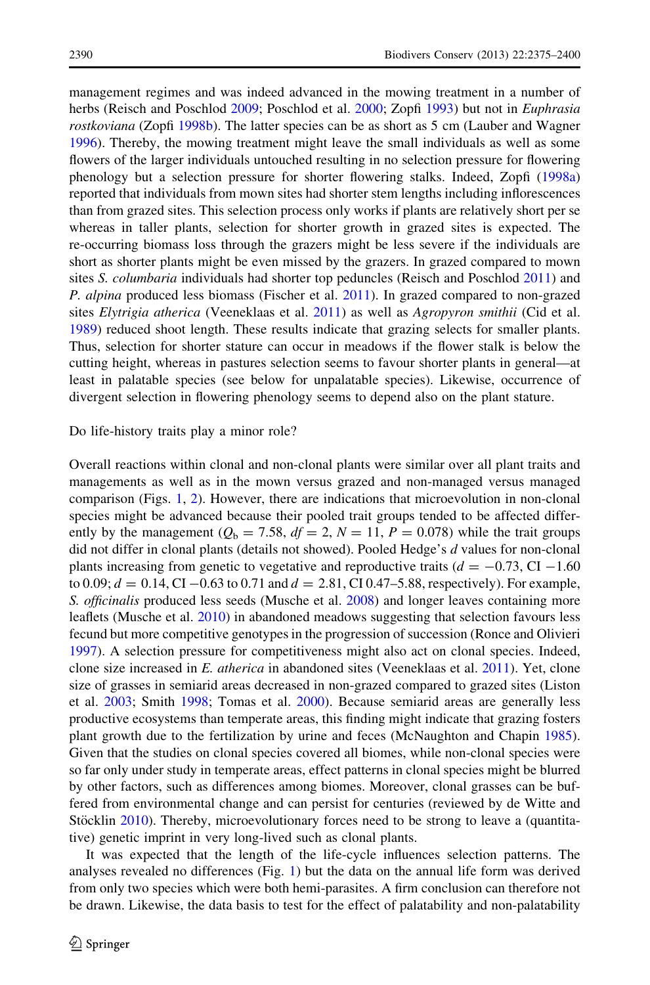management regimes and was indeed advanced in the mowing treatment in a number of herbs (Reisch and Poschlod [2009](#page-25-0); Poschlod et al. [2000](#page-25-0); Zopfi [1993\)](#page-26-0) but not in *Euphrasia* rostkoviana (Zopfi [1998b](#page-26-0)). The latter species can be as short as 5 cm (Lauber and Wagner [1996\)](#page-24-0). Thereby, the mowing treatment might leave the small individuals as well as some flowers of the larger individuals untouched resulting in no selection pressure for flowering phenology but a selection pressure for shorter flowering stalks. Indeed, Zopfi [\(1998a](#page-26-0)) reported that individuals from mown sites had shorter stem lengths including inflorescences than from grazed sites. This selection process only works if plants are relatively short per se whereas in taller plants, selection for shorter growth in grazed sites is expected. The re-occurring biomass loss through the grazers might be less severe if the individuals are short as shorter plants might be even missed by the grazers. In grazed compared to mown sites S. *columbaria* individuals had shorter top peduncles (Reisch and Poschlod [2011\)](#page-25-0) and P. alpina produced less biomass (Fischer et al. [2011\)](#page-24-0). In grazed compared to non-grazed sites Elytrigia atherica (Veeneklaas et al. [2011\)](#page-26-0) as well as Agropyron smithii (Cid et al. [1989\)](#page-24-0) reduced shoot length. These results indicate that grazing selects for smaller plants. Thus, selection for shorter stature can occur in meadows if the flower stalk is below the cutting height, whereas in pastures selection seems to favour shorter plants in general—at least in palatable species (see below for unpalatable species). Likewise, occurrence of divergent selection in flowering phenology seems to depend also on the plant stature.

#### Do life-history traits play a minor role?

Overall reactions within clonal and non-clonal plants were similar over all plant traits and managements as well as in the mown versus grazed and non-managed versus managed comparison (Figs. [1,](#page-11-0) [2\)](#page-12-0). However, there are indications that microevolution in non-clonal species might be advanced because their pooled trait groups tended to be affected differently by the management ( $Q<sub>b</sub> = 7.58$ ,  $df = 2$ ,  $N = 11$ ,  $P = 0.078$ ) while the trait groups did not differ in clonal plants (details not showed). Pooled Hedge's d values for non-clonal plants increasing from genetic to vegetative and reproductive traits ( $d = -0.73$ , CI -1.60) to 0.09;  $d = 0.14$ , CI  $-0.63$  to 0.71 and  $d = 2.81$ , CI 0.47–5.88, respectively). For example, S. officinalis produced less seeds (Musche et al. [2008](#page-24-0)) and longer leaves containing more leaflets (Musche et al. [2010\)](#page-24-0) in abandoned meadows suggesting that selection favours less fecund but more competitive genotypes in the progression of succession (Ronce and Olivieri [1997\)](#page-25-0). A selection pressure for competitiveness might also act on clonal species. Indeed, clone size increased in E. atherica in abandoned sites (Veeneklaas et al. [2011](#page-26-0)). Yet, clone size of grasses in semiarid areas decreased in non-grazed compared to grazed sites (Liston et al. [2003](#page-24-0); Smith [1998](#page-25-0); Tomas et al. [2000\)](#page-25-0). Because semiarid areas are generally less productive ecosystems than temperate areas, this finding might indicate that grazing fosters plant growth due to the fertilization by urine and feces (McNaughton and Chapin [1985](#page-24-0)). Given that the studies on clonal species covered all biomes, while non-clonal species were so far only under study in temperate areas, effect patterns in clonal species might be blurred by other factors, such as differences among biomes. Moreover, clonal grasses can be buffered from environmental change and can persist for centuries (reviewed by de Witte and Stöcklin [2010](#page-24-0)). Thereby, microevolutionary forces need to be strong to leave a (quantitative) genetic imprint in very long-lived such as clonal plants.

It was expected that the length of the life-cycle influences selection patterns. The analyses revealed no differences (Fig. [1](#page-11-0)) but the data on the annual life form was derived from only two species which were both hemi-parasites. A firm conclusion can therefore not be drawn. Likewise, the data basis to test for the effect of palatability and non-palatability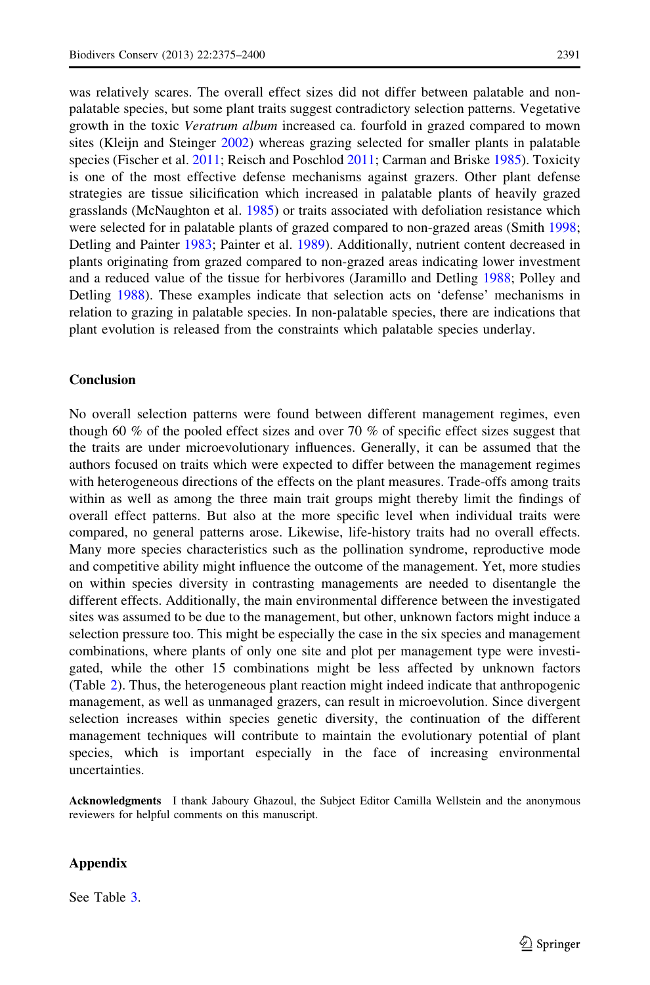was relatively scares. The overall effect sizes did not differ between palatable and nonpalatable species, but some plant traits suggest contradictory selection patterns. Vegetative growth in the toxic Veratrum album increased ca. fourfold in grazed compared to mown sites (Kleijn and Steinger [2002](#page-24-0)) whereas grazing selected for smaller plants in palatable species (Fischer et al. [2011](#page-24-0); Reisch and Poschlod [2011;](#page-25-0) Carman and Briske [1985\)](#page-24-0). Toxicity is one of the most effective defense mechanisms against grazers. Other plant defense strategies are tissue silicification which increased in palatable plants of heavily grazed grasslands (McNaughton et al. [1985](#page-24-0)) or traits associated with defoliation resistance which were selected for in palatable plants of grazed compared to non-grazed areas (Smith [1998;](#page-25-0) Detling and Painter [1983](#page-24-0); Painter et al. [1989\)](#page-25-0). Additionally, nutrient content decreased in plants originating from grazed compared to non-grazed areas indicating lower investment and a reduced value of the tissue for herbivores (Jaramillo and Detling [1988;](#page-24-0) Polley and Detling [1988](#page-25-0)). These examples indicate that selection acts on 'defense' mechanisms in relation to grazing in palatable species. In non-palatable species, there are indications that plant evolution is released from the constraints which palatable species underlay.

# Conclusion

No overall selection patterns were found between different management regimes, even though 60 % of the pooled effect sizes and over 70 % of specific effect sizes suggest that the traits are under microevolutionary influences. Generally, it can be assumed that the authors focused on traits which were expected to differ between the management regimes with heterogeneous directions of the effects on the plant measures. Trade-offs among traits within as well as among the three main trait groups might thereby limit the findings of overall effect patterns. But also at the more specific level when individual traits were compared, no general patterns arose. Likewise, life-history traits had no overall effects. Many more species characteristics such as the pollination syndrome, reproductive mode and competitive ability might influence the outcome of the management. Yet, more studies on within species diversity in contrasting managements are needed to disentangle the different effects. Additionally, the main environmental difference between the investigated sites was assumed to be due to the management, but other, unknown factors might induce a selection pressure too. This might be especially the case in the six species and management combinations, where plants of only one site and plot per management type were investigated, while the other 15 combinations might be less affected by unknown factors (Table [2](#page-5-0)). Thus, the heterogeneous plant reaction might indeed indicate that anthropogenic management, as well as unmanaged grazers, can result in microevolution. Since divergent selection increases within species genetic diversity, the continuation of the different management techniques will contribute to maintain the evolutionary potential of plant species, which is important especially in the face of increasing environmental uncertainties.

Acknowledgments I thank Jaboury Ghazoul, the Subject Editor Camilla Wellstein and the anonymous reviewers for helpful comments on this manuscript.

# Appendix

See Table [3](#page-18-0).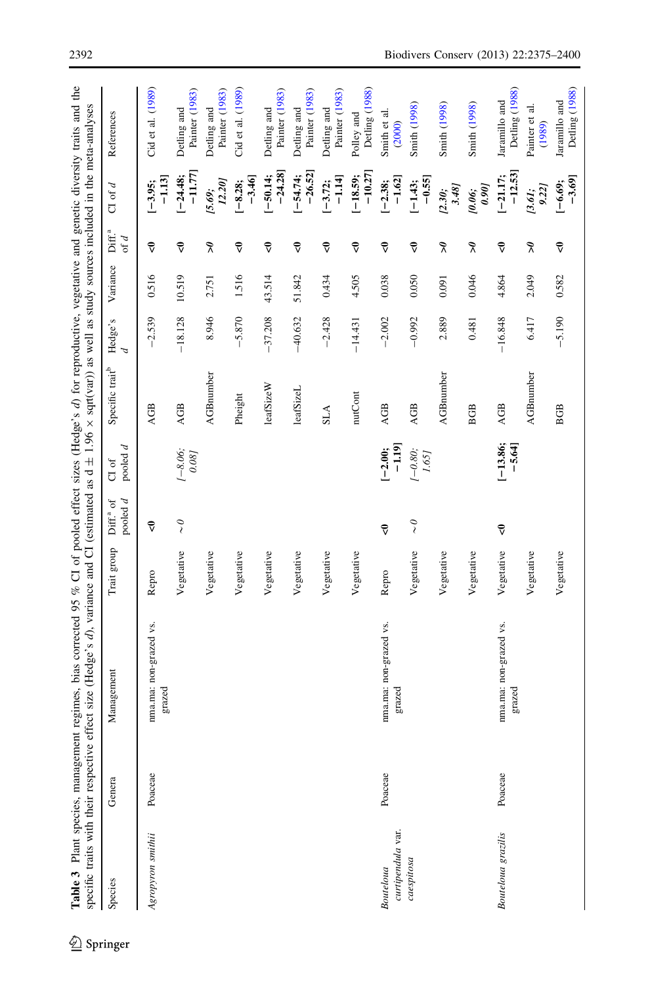<span id="page-18-0"></span>

| specific traits with their respective |         | Table 3 Plant species, management regimes, bias corrected 95 % C1 of pooled effect sizes (Hedge's d) for reproductive, vegetative and genetic diversity traits and the<br>effect size (Hedge's d), variance and CI (estimated as $d \pm 1.96 \times$ sqrt(var)) as well as study sources included in the meta-analyses |             |                                     |                       |                             |           |          |                              |                        |                                 |
|---------------------------------------|---------|------------------------------------------------------------------------------------------------------------------------------------------------------------------------------------------------------------------------------------------------------------------------------------------------------------------------|-------------|-------------------------------------|-----------------------|-----------------------------|-----------|----------|------------------------------|------------------------|---------------------------------|
| Species                               | Genera  | Management                                                                                                                                                                                                                                                                                                             | Trait group | pooled $d$<br>Diff. <sup>a</sup> of | pooled $d$<br>$C1$ of | Specific trait <sup>b</sup> | Hedge's   | Variance | Diff. <sup>a</sup><br>of $d$ | $C1$ of $d$            | References                      |
| Agropyron smithii                     | Poaceae | nma.ma: non-grazed vs.<br>grazed                                                                                                                                                                                                                                                                                       | Repro       | $\vec{\triangledown}$               |                       | <b>AGB</b>                  | $-2.539$  | 0.516    | $\vec{\mathbf{v}}$           | $-1.13$<br>$[-3.95;$   | Cid et al. (1989)               |
|                                       |         |                                                                                                                                                                                                                                                                                                                        | Vegetative  | $\sim$ 0                            | $-8.06$ ;<br>0.081    | <b>AGB</b>                  | $-18.128$ | 10.519   | $\vec{\mathbf{v}}$           | $-11.77$<br>$[-24.48;$ | Painter (1983)<br>Detling and   |
|                                       |         |                                                                                                                                                                                                                                                                                                                        | Vegetative  |                                     |                       | <b>AGBnumber</b>            | 8.946     | 2.751    | $\tilde{\mathbf{z}}$         | 12.20]<br>[5.69;       | Painter (1983)<br>Detling and   |
|                                       |         |                                                                                                                                                                                                                                                                                                                        | Vegetative  |                                     |                       | Pheight                     | $-5.870$  | 1.516    | $\vec{\mathbf{v}}$           | $-3.46$<br>$[-8.28;$   | Cid et al. (1989)               |
|                                       |         |                                                                                                                                                                                                                                                                                                                        | Vegetative  |                                     |                       | leafSizeW                   | $-37.208$ | 43.514   | $\vec{\mathbf{v}}$           | $-24.28$<br>$[-50.14;$ | Painter (1983)<br>Detling and   |
|                                       |         |                                                                                                                                                                                                                                                                                                                        | Vegetative  |                                     |                       | leafSizeL                   | $-40.632$ | 51.842   | $\vec{\mathbf{v}}$           | $-26.52$<br>$[-54.74]$ | Painter (1983)<br>Detling and   |
|                                       |         |                                                                                                                                                                                                                                                                                                                        | Vegetative  |                                     |                       | <b>ALIS</b>                 | $-2.428$  | 0.434    | $\vec{\mathbf{v}}$           | $-1.14$<br>$[-3.72;$   | Painter (1983)<br>Detling and   |
|                                       |         |                                                                                                                                                                                                                                                                                                                        | Vegetative  |                                     |                       | nutCont                     | $-14.431$ | 4.505    | $\vec{\mathbf{v}}$           | $-10.27$<br>$[-18.59;$ | Detling (1988)<br>Polley and    |
| curtipendula var.<br>Bouteloua        | Poaceae | nma.ma: non-grazed vs.<br>grazed                                                                                                                                                                                                                                                                                       | Repro       | $\vec{\mathbf{v}}$                  | $-1.19$<br>$[-2.00;$  | <b>AGB</b>                  | $-2.002$  | 0.038    | $\vec{\mathbf{v}}$           | $-1.62$<br>$[-2.38;$   | Smith et al.<br>(2000)          |
| caespitosa                            |         |                                                                                                                                                                                                                                                                                                                        | Vegetative  | $\sim$ 0                            | $(-0.80;$<br>1.65]    | <b>AGB</b>                  | $-0.992$  | 0.050    | $\vec{\mathbf{v}}$           | $-0.55$<br>$[-1.43;$   | <b>Smith</b> (1998)             |
|                                       |         |                                                                                                                                                                                                                                                                                                                        | Vegetative  |                                     |                       | <b>AGBnumber</b>            | 2.889     | 0.091    | $\tilde{\mathbf{z}}$         | 3.48]<br>[2.30;        | Smith (1998)                    |
|                                       |         |                                                                                                                                                                                                                                                                                                                        | Vegetative  |                                     |                       | <b>BGB</b>                  | 0.481     | 0.046    | $\tilde{\mathbf{z}}$         | 0.901<br>10.06;        | <b>Smith</b> (1998)             |
| <b>Bouteloua</b> grazilis             | Poaceae | nma.ma: non-grazed vs.<br>grazed                                                                                                                                                                                                                                                                                       | Vegetative  | $\vec{\mathbf{v}}$                  | $[-13.86;$<br>$-5.64$ | AGB                         | $-16.848$ | 4.864    | $\vec{\mathbf{v}}$           | $-12.53$<br>$[-21.17;$ | Detling (1988)<br>Jaramillo and |
|                                       |         |                                                                                                                                                                                                                                                                                                                        | Vegetative  |                                     |                       | <b>AGBnumber</b>            | 6.417     | 2.049    | $\tilde{\mathbf{z}}$         | 9.22]<br>[3.61;        | Painter et al.<br>(1989)        |
|                                       |         |                                                                                                                                                                                                                                                                                                                        | Vegetative  |                                     |                       | <b>BGB</b>                  | $-5.190$  | 0.582    | $\vec{\mathbf{v}}$           | $-3.69$<br>$[-6.69;$   | Detling (1988)<br>Jaramillo and |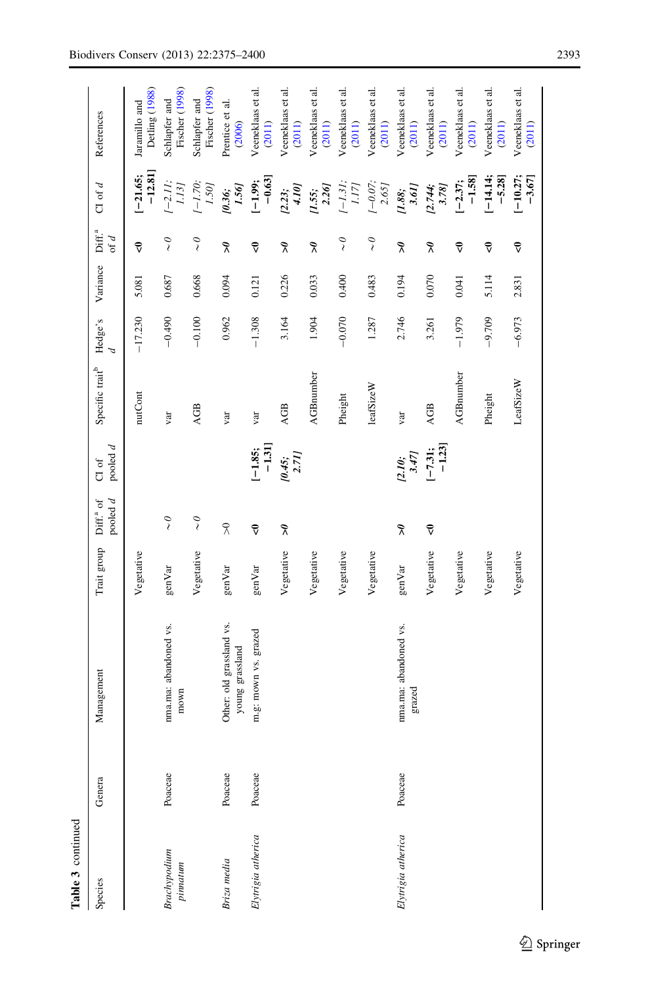| <b>Tamir</b> 2 South Corporation |         |                                             |             |                                         |                            |                             |           |          |                                         |                                 |                                 |
|----------------------------------|---------|---------------------------------------------|-------------|-----------------------------------------|----------------------------|-----------------------------|-----------|----------|-----------------------------------------|---------------------------------|---------------------------------|
| Species                          | Genera  | Management                                  | Trait group | pooled $d$<br>Diff. <sup>a</sup> of     | pooled $d$<br><b>CI</b> of | Specific trait <sup>b</sup> | Hedge's   | Variance | Diff. <sup>a</sup><br>of d              | $C1$ of $d$                     | References                      |
|                                  |         |                                             | Vegetative  |                                         |                            | nutCont                     | $-17.230$ | 5.081    | $\vec{v}$                               | $-12.81$ ]<br>$[-21.65;$        | Detling (1988)<br>Jaramillo and |
| <b>Brachypodium</b><br>pinnatum  | Poaceae | nma.ma: abandoned vs.<br>mown               | genVar      | $\stackrel{\circ}{\scriptstyle\diagup}$ |                            | var                         | $-0.490$  | 0.687    | $\stackrel{\circ}{\scriptstyle\diagup}$ | $[-2.11;$<br>1.13               | Fischer (1998)<br>Schlapfer and |
|                                  |         |                                             | Vegetative  | $\sim$                                  |                            | AGB                         | $-0.100$  | 0.668    | $\sim$                                  | $(-1.70;$<br>$1.50\,\mathrm{J}$ | Fischer (1998)<br>Schlapfer and |
| Briza media                      | Poaceae | Other: old grassland vs.<br>young grassland | genVar      | $\widetilde{\mathcal{R}}$               |                            | var                         | 0.962     | 0.094    | $\tilde{\mathbf{z}}$                    | 1.56]<br>[0.36;                 | Prentice et al.<br>(2006)       |
| Elytrigia atherica               | Poaceae | m.g: mown vs. grazed                        | genVar      | $\vec{\mathbf{v}}$                      | $-1.31$<br>$[-1.85;$       | var                         | $-1.308$  | 0.121    | $\vec{\mathsf{v}}$                      | $-0.63$<br>$[-1.99;$            | Veeneklaas et al.<br>(2011)     |
|                                  |         |                                             | Vegetative  | $\tilde{\mathbf{z}}$                    | $\frac{10.45}{2.71}$       | <b>AGB</b>                  | 3.164     | 0.226    | $\tilde{\mathbf{z}}$                    | 1017<br>[2.23;                  | Veeneklaas et al.<br>(2011)     |
|                                  |         |                                             | Vegetative  |                                         |                            | <b>AGBnumber</b>            | 1.904     | 0.033    | $\tilde{\mathbf{z}}$                    | $\frac{1.55}{2.26}$             | Veeneklaas et al.<br>(2011)     |
|                                  |         |                                             | Vegetative  |                                         |                            | Pheight                     | $-0.070$  | 0.400    | $\sim$                                  | $(-1.31,$<br>1.17               | Veeneklaas et al.<br>(2011)     |
|                                  |         |                                             | Vegetative  |                                         |                            | leafSizeW                   | 1.287     | 0.483    | $\tilde{\zeta}$                         | $1 - 0.07$ ;<br>2.65]           | Veeneklaas et al.<br>(2011)     |
| Elytrigia atherica               | Poaceae | nma.ma: abandoned vs.<br>grazed             | genVar      | $\tilde{\mathbf{z}}$                    | 3.47<br>[2.10;             | var                         | 2.746     | 0.194    | $\widetilde{\mathcal{K}}$               | 3.61)<br>$[1.88;$               | Veeneklaas et al.<br>(2011)     |
|                                  |         |                                             | Vegetative  | $\vec{\mathbf{v}}$                      | $-1.23$<br>$[-7.31;$       | <b>AGB</b>                  | 3.261     | 0.070    | $\tilde{\mathbf{z}}$                    | 3.78<br>[2.744]                 | Veeneklaas et al.<br>(2011)     |
|                                  |         |                                             | Vegetative  |                                         |                            | <b>AGBnumber</b>            | $-1.979$  | 0.041    | $\vec{\mathsf{v}}$                      | $-1.58$<br>$[-2.37;$            | Veeneklaas et al.<br>(2011)     |
|                                  |         |                                             | Vegetative  |                                         |                            | Pheight                     | $-9.709$  | 5.114    | $\vec{\mathbf{v}}$                      | $-5.28$<br>$[-14.14]$           | Veeneklaas et al.<br>(2011)     |
|                                  |         |                                             | Vegetative  |                                         |                            | LeafSizeW                   | $-6.973$  | 2.831    | $\vec{\mathbf{v}}$                      | $[-10.27;$<br>$-3.67$           | Veeneklaas et al.<br>(2011)     |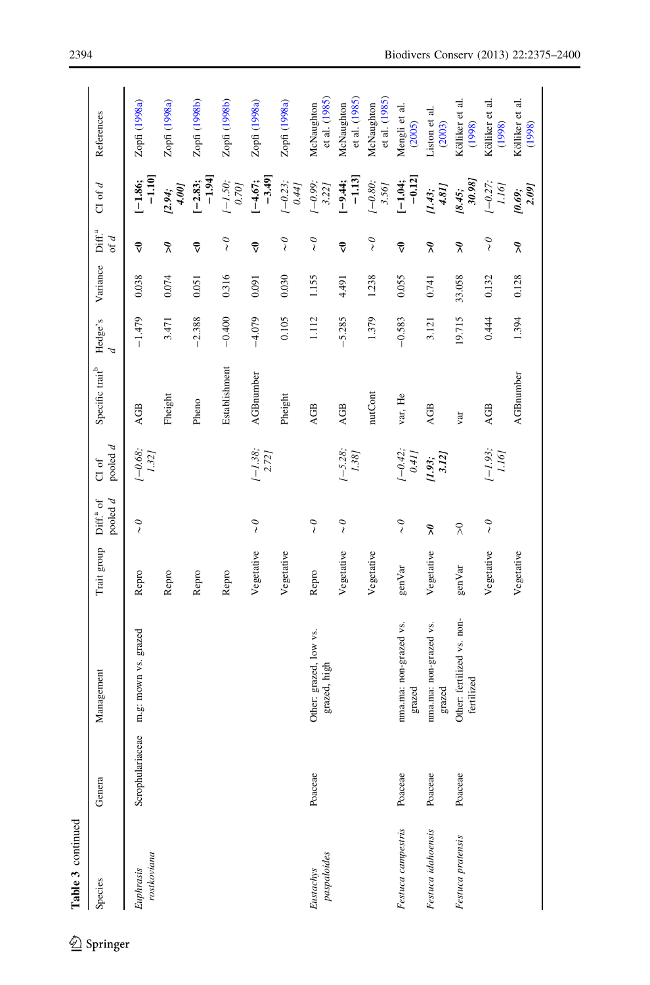| Table 3 continued        |                       |                                          |             |                                         |                                                                                       |                             |              |          |                              |                                                           |                             |
|--------------------------|-----------------------|------------------------------------------|-------------|-----------------------------------------|---------------------------------------------------------------------------------------|-----------------------------|--------------|----------|------------------------------|-----------------------------------------------------------|-----------------------------|
| Species                  | Genera                | Management                               | Trait group | pooled $d$<br>Diff. <sup>a</sup> of     | pooled $d$<br>CI of                                                                   | Specific trait <sup>b</sup> | Hedge's<br>A | Variance | Diff. <sup>a</sup><br>of $d$ | CI of $d$                                                 | References                  |
| rostkoviana<br>Euphrasis | :eae<br>Scrophulariac | m.g: mown vs. grazed                     | Repro       | $\stackrel{\circ}{\scriptstyle\diagup}$ | $\begin{array}{c} \left\{-0.68\right\} \\ \left\{\end{array}$                         | AGB                         | $-1.479$     | 0.038    | $\vec{\mathbf{v}}$           | $-1.10$<br>$[-1.86;$                                      | Zopfi (1998a)               |
|                          |                       |                                          | Repro       |                                         |                                                                                       | Fheight                     | 3.471        | 0.074    | $\tilde{\mathcal{S}}$        | $[2.94;$<br>4.00]                                         | Zopfi (1998a)               |
|                          |                       |                                          | Repro       |                                         |                                                                                       | Pheno                       | $-2.388$     | 0.051    | $\vec{\mathbf{v}}$           | $-1.94$<br>$[-2.83;$                                      | Zopfi (1998b)               |
|                          |                       |                                          | Repro       |                                         |                                                                                       | Establishment               | $-0.400$     | 0.316    | $\tilde{\zeta}$              | $\begin{array}{c} \left(-1.50\right. \\ 0.70 \end{array}$ | Zopfi (1998b)               |
|                          |                       |                                          | Vegetative  | $\stackrel{\circ}{\scriptstyle\diagup}$ | $1 - 1.38$ ;<br>2.72]                                                                 | <b>AGBnumber</b>            | $-4.079$     | 160'0    | $\vec{\mathbf{v}}$           | $-3.49$<br>$[-4.67;$                                      | Zopfi (1998a)               |
|                          |                       |                                          | Vegetative  |                                         |                                                                                       | Pheight                     | 0.105        | 0.030    | $\sim$                       | $(-0.23;$<br>(74)                                         | Zopfi (1998a)               |
| paspaloides<br>Eustachys | Poaceae               | Other: grazed, low vs.<br>grazed, high   | Repro       | $\tilde{\zeta}$                         |                                                                                       | AGB                         | 1.112        | 1.155    | $\tilde{\zeta}$              | $[-0.99; 3.22]$                                           | et al. (1985)<br>McNaughton |
|                          |                       |                                          | Vegetative  | $\sim$                                  | $1 - 5.28$<br>1.38]                                                                   | AGB                         | $-5.285$     | 4.491    | $\vec{\mathbf{v}}$           | $-1.13$<br>$[-9.44;$                                      | et al. (1985)<br>McNaughton |
|                          |                       |                                          | Vegetative  |                                         |                                                                                       | nutCont                     | 1.379        | 1.238    | $\tilde{\zeta}$              | $(-0.80)$<br>3.56]                                        | et al. (1985)<br>McNaughton |
| Festuca campestris       | Poaceae               | nma.ma: non-grazed vs.<br>grazed         | genVar      | $\stackrel{\circ}{\scriptstyle\diagup}$ | $(-0.42;$<br>0.41                                                                     | var, He                     | $-0.583$     | 0.055    | $\vec{\mathbf{v}}$           | $-0.12$<br>$[-1.04;$                                      | Mengli et al.<br>(2005)     |
| Festuca idahoensis       | Poaceae               | nma.ma: non-grazed vs.<br>grazed         | Vegetative  | $\tilde{\mathbf{z}}$                    | 3.12]<br>[1.93;                                                                       | AGB                         | 3.121        | 0.741    | $\tilde{\mathbf{z}}$         | 4.81]<br>[1.43;                                           | iston et al.<br>(2003)      |
| Festuca pratensis        | Poaceae               | Other: fertilized vs. non-<br>fertilized | genVar      | $\widetilde{\lambda}$                   |                                                                                       | var                         | 19.715       | 33.058   | $\tilde{\mathbf{z}}$         | 30.98]<br>[8.45;                                          | Kölliker et al.<br>(1998)   |
|                          |                       |                                          | Vegetative  | $\sim$ 0                                | $\begin{array}{c} \text{--} \text{1.93};\\ \text{--} \text{1.16}\text{)} \end{array}$ | AGB                         | 0.444        | 0.132    | $\sim$                       | $[-0.27;$                                                 | Kölliker et al.<br>(1998)   |
|                          |                       |                                          | Vegetative  |                                         |                                                                                       | <b>AGBnumber</b>            | 1.394        | 0.128    | $\widetilde{\mathcal{L}}$    | [0.69; 2.09]                                              | Kölliker et al.<br>(1998)   |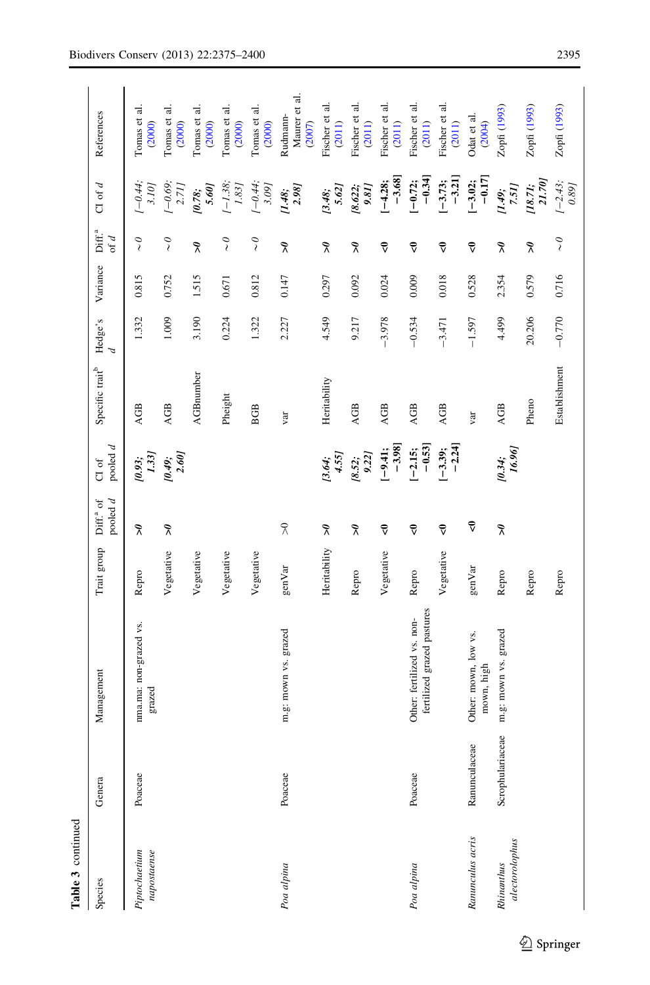| r<br>continue |
|---------------|
|               |
|               |
| Lable         |
|               |

| Table 3 continued            |                  |                                                          |              |                                     |                       |                             |                           |          |                                         |                                                  |                                     |
|------------------------------|------------------|----------------------------------------------------------|--------------|-------------------------------------|-----------------------|-----------------------------|---------------------------|----------|-----------------------------------------|--------------------------------------------------|-------------------------------------|
| Species                      | Genera           | Management                                               | Trait group  | pooled $d$<br>Diff. <sup>a</sup> of | pooled d<br>CI of     | Specific trait <sup>b</sup> | Hedge's<br>$\overline{d}$ | Variance | Diff. <sup>a</sup><br>of $d$            | $C1$ of $d$                                      | References                          |
| Piptochaetium<br>napostaense | Poaceae          | nma.ma: non-grazed vs.<br>grazed                         | Repro        | $\tilde{\mathbf{r}}$                | $[0.93; \\ 1.33]$     | <b>AGB</b>                  | 1.332                     | 0.815    | $\stackrel{\circ}{\scriptstyle\diagup}$ | $(-0.44,$<br>3.10]                               | Tomas et al.<br>(2000)              |
|                              |                  |                                                          | Vegetative   | $\tilde{\mathbf{z}}$                | $[0.49;$<br>2.60]     | AGB                         | 1.009                     | 0.752    | $\sim$ 0                                | $[-0.69; 2.71]$                                  | Tomas et al.<br>(2000)              |
|                              |                  |                                                          | Vegetative   |                                     |                       | <b>AGBnumber</b>            | 3.190                     | 1.515    | $\tilde{\lambda}$                       | $10.78;$ 5.60]                                   | Tomas et al.<br>(2000)              |
|                              |                  |                                                          | Vegetative   |                                     |                       | Pheight                     | 0.224                     | 0.671    | $\sim$ 0                                | $(-1.38,$<br>1.83                                | Tomas et al.<br>(2000)              |
|                              |                  |                                                          | Vegetative   |                                     |                       | <b>BGB</b>                  | 1.322                     | 0.812    | $\sim$ 0                                | $(-0.44,$<br>3.09]                               | Tomas et al.<br>(2000)              |
| Poa alpina                   | Poaceae          | m.g: mown vs. grazed                                     | genVar       | $\%$                                |                       | var                         | 2.227                     | 0.147    | $\tilde{\mathbf{z}}$                    | $\begin{array}{c} [1.48; \\ 2.98] \end{array}$   | Maurer et al.<br>Rudmann-<br>(2007) |
|                              |                  |                                                          | Heritability | $\tilde{\mathbf{z}}$                | 4.55]<br>[3.64;       | Heritability                | 4.549                     | 0.297    | $\tilde{\lambda}$                       | $[3.48;$<br>$5.62]$                              | Fischer et al.<br>(2011)            |
|                              |                  |                                                          | Repro        | $\tilde{\mathbf{z}}$                | [8.52; 9.22]          | <b>AGB</b>                  | 9.217                     | 0.092    | $\tilde{\lambda}$                       | 9.81<br>[8.622;                                  | Fischer et al.<br>(2011)            |
|                              |                  |                                                          | Vegetative   | $\vec{\mathsf{v}}$                  | $-3.98$<br>$[-9.41;$  | <b>AGB</b>                  | $-3.978$                  | 0.024    | $\vec{\mathbf{v}}$                      | $-3.68$<br>$[-4.28;$                             | Fischer et al.<br>(2011)            |
| Poa alpina                   | Poaceae          | fertilized grazed pastures<br>Other: fertilized vs. non- | Repro        | $\vec{\mathbf{v}}$                  | $[-2.15;$<br>$-0.53]$ | <b>AGB</b>                  | $-0.534$                  | 0.009    | $\vec{\mathbf{v}}$                      | $-0.34$<br>$[-0.72;$                             | Fischer et al.<br>(2011)            |
|                              |                  |                                                          | Vegetative   | $\vec{\mathbf{v}}$                  | $[-3.39;$<br>$-2.24]$ | <b>AGB</b>                  | $-3.471$                  | 0.018    | $\vec{\mathbf{v}}$                      | $-3.21$<br>$[-3.73;$                             | Fischer et al.<br>(2011)            |
| Ranunculus acris             | Ranunculaceae    | Other: mown, low vs.<br>mown, high                       | genVar       | $\widehat{\mathbf{v}}$              |                       | var                         | $-1.597$                  | 0.528    | $\vec{\mathsf{v}}$                      | $[-3.02;$<br>$-0.17]$                            | Odat et al.<br>(2004)               |
| alectorolophus<br>Rhinanthus | Scrophulariaceae | m.g: mown vs. grazed                                     | Repro        | $\tilde{\lambda}$                   | 16.96]<br>[0.34]      | <b>AGB</b>                  | 4.499                     | 2.354    | $\tilde{\lambda}$                       | $[1.49;$<br>7.51]                                | Zopfi (1993)                        |
|                              |                  |                                                          | Repro        |                                     |                       | Pheno                       | 20.206                    | 0.579    | $\tilde{\lambda}$                       | $\begin{array}{c} [18.71; \\ 21.70] \end{array}$ | Zopfi (1993)                        |
|                              |                  |                                                          | Repro        |                                     |                       | Establishment               | $-0.770$                  | 0.716    | $\stackrel{\circ}{\scriptstyle\diagup}$ | $\begin{array}{c} [-2.43; 0.89] \end{array}$     | Zopfi (1993)                        |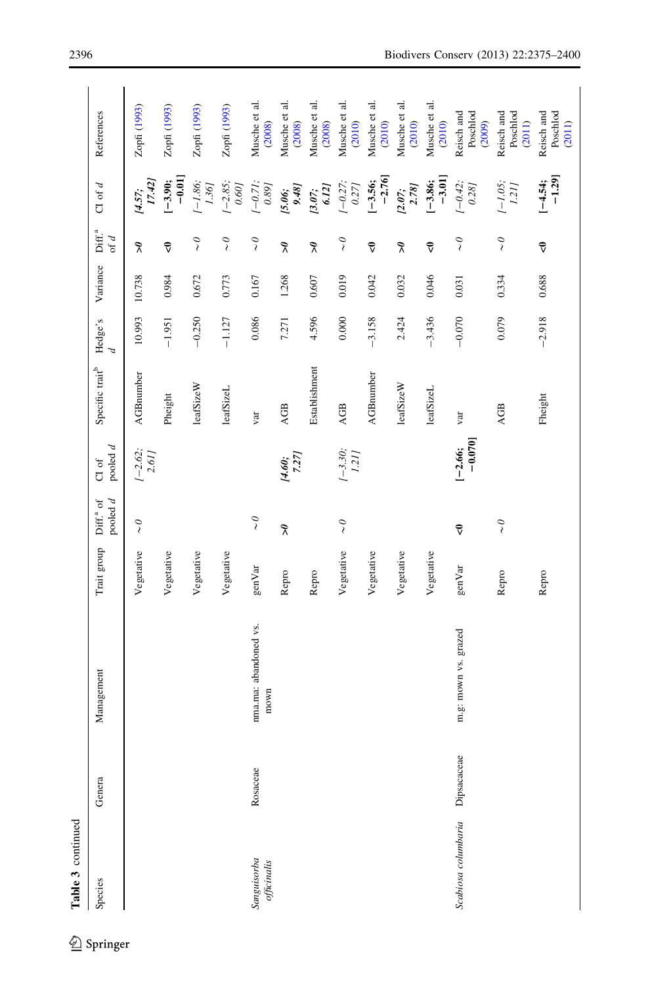| Table 3 continued                |             |                               |             |                                         |                                                               |                             |                           |          |                                         |                                                |                                  |
|----------------------------------|-------------|-------------------------------|-------------|-----------------------------------------|---------------------------------------------------------------|-----------------------------|---------------------------|----------|-----------------------------------------|------------------------------------------------|----------------------------------|
| Species                          | Genera      | Management                    | Trait group | pooled $d$<br>Diff. <sup>a</sup> of     | pooled $d$<br>CI of                                           | Specific trait <sup>b</sup> | Hedge's<br>$\overline{d}$ | Variance | Diff. <sup>a</sup><br>of $d$            | $C1$ of $d$                                    | References                       |
|                                  |             |                               | Vegetative  | $\stackrel{\circ}{\scriptstyle\diagup}$ | $\begin{array}{c} -2.62 \\ 2.61 \end{array}$                  | <b>AGBnumber</b>            | 10.993                    | 10.738   | $\tilde{\mathbf{z}}$                    | 17.42]<br>[4.57;                               | Zopfi (1993)                     |
|                                  |             |                               | Vegetative  |                                         |                                                               | Pheight                     | $-1.951$                  | 0.984    | $\vec{\mathbf{v}}$                      | $[-3.90;$<br>$-0.01]$                          | Zopfi (1993)                     |
|                                  |             |                               | Vegetative  |                                         |                                                               | leafSizeW                   | $-0.250$                  | 0.672    | $\tilde{\zeta}$                         | $1 - 1.86$ ;<br>1.361                          | Zopfi (1993)                     |
|                                  |             |                               | Vegetative  |                                         |                                                               | leafSizeL                   | $-1.127$                  | 0.773    | $\sim$ 0                                | $\begin{array}{c} -2.85 \\ 0.60 \end{array}$   | Zopfi (1993)                     |
| Sanguisorba<br>of the initial is | Rosaceae    | nma.ma: abandoned vs.<br>mown | genVar      | $\stackrel{\circ}{\scriptstyle\diagup}$ |                                                               | var                         | 0.086                     | 0.167    | $\sim$ $\!$                             | $\begin{array}{c} -0.71; \\ 0.89 \end{array}$  | Musche et al.<br>(2008)          |
|                                  |             |                               | Repro       | $\tilde{\lambda}$                       | $[4.60;$<br>7.27]                                             | AGB                         | 7.271                     | 1.268    | $\tilde{\lambda}$                       | [5.06; 9.48]                                   | Musche et al.<br>(2008)          |
|                                  |             |                               | Repro       |                                         |                                                               | Establishment               | 4.596                     | 0.607    | $\tilde{\mathbf{z}}$                    | 6.12]<br>[3.07;                                | Musche et al.<br>(2008)          |
|                                  |             |                               | Vegetative  | $\sim$                                  | $\begin{array}{c} \left\{ -3.30 \right\} \\ 1.21 \end{array}$ | <b>AGB</b>                  | 0.000                     | 0.019    | $\sim$ 0                                | $\begin{array}{c} -0.27; \\ 0.271 \end{array}$ | Musche et al.<br>(2010)          |
|                                  |             |                               | Vegetative  |                                         |                                                               | <b>AGBnunber</b>            | $-3.158$                  | 0.042    | ₹                                       | $-2.76$<br>$[-3.56;$                           | Musche et al.<br>(2010)          |
|                                  |             |                               | Vegetative  |                                         |                                                               | leafSizeW                   | 2.424                     | 0.032    | $\tilde{\mathbf{z}}$                    | 2.78<br>[2.07;                                 | Musche et al.<br>(2010)          |
|                                  |             |                               | Vegetative  |                                         |                                                               | leafSizeL                   | $-3.436$                  | 0.046    | $\vec{\mathbf{v}}$                      | $-3.01$<br>$[-3.86;$                           | Musche et al.<br>(2010)          |
| Scabiosa columbaria              | Dipsacaceae | m.g: mown vs. grazed          | genVar      | $\vec{\mathbf{v}}$                      | $[-2.66;$<br>-0.070]                                          | var                         | $-0.070$                  | 0.031    | $\tilde{\zeta}$                         | $(-0.42;$<br>0.28j                             | Reisch and<br>Poschlod<br>(2009) |
|                                  |             |                               | Repro       | $\sim$ $\!$                             |                                                               | AGB                         | 0.079                     | 0.334    | $\stackrel{\circ}{\scriptstyle\diagup}$ | $\frac{1-1.05}{1.21}$                          | Reisch and<br>Poschlod<br>(2011) |
|                                  |             |                               | Repro       |                                         |                                                               | Fheight                     | $-2.918$                  | 0.688    | $\vec{\mathbf{v}}$                      | $[-4.54;$<br>-1.29]                            | Reisch and<br>Poschlod<br>(2011) |

<sup>2</sup> Springer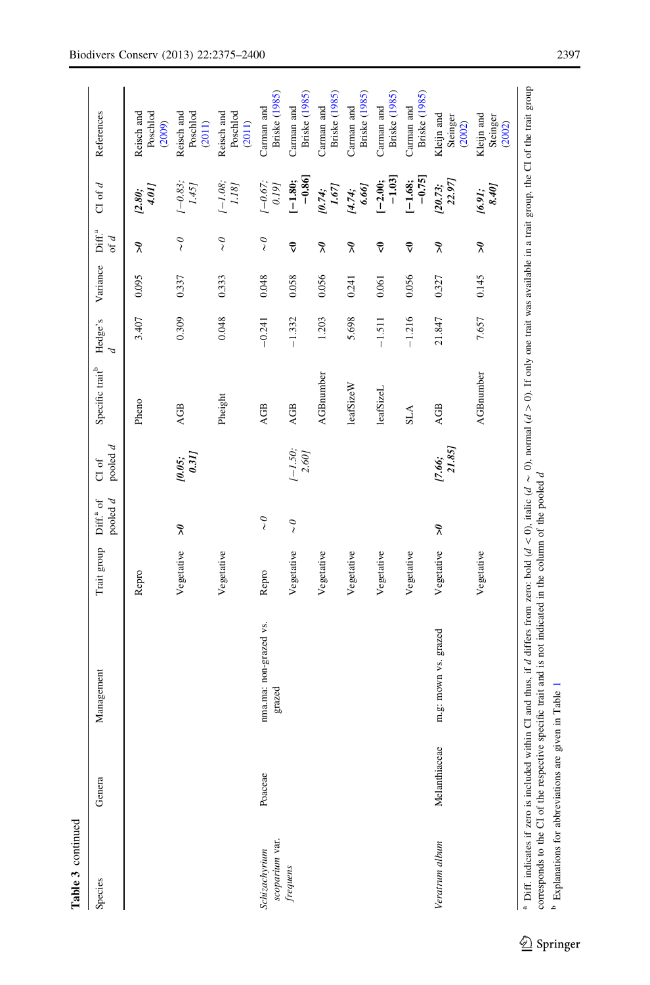| Ì<br>himina<br>ï |
|------------------|
|                  |

| Table 3 continued               |               |                                                                                                                                                                                                                                                                                                                                         |             |                                     |                                                            |                             |              |          |                                             |                                                                                    |                                    |
|---------------------------------|---------------|-----------------------------------------------------------------------------------------------------------------------------------------------------------------------------------------------------------------------------------------------------------------------------------------------------------------------------------------|-------------|-------------------------------------|------------------------------------------------------------|-----------------------------|--------------|----------|---------------------------------------------|------------------------------------------------------------------------------------|------------------------------------|
| Species                         | Genera        | Management                                                                                                                                                                                                                                                                                                                              | Trait group | pooled $d$<br>Diff. <sup>a</sup> of | pooled $d$<br>$\sigma$                                     | Specific trait <sup>b</sup> | Hedge's<br>P | Variance | Diff. <sup>a</sup><br>of $d$                | $C1$ of $d$                                                                        | References                         |
|                                 |               |                                                                                                                                                                                                                                                                                                                                         | Repro       |                                     |                                                            | Pheno                       | 3.407        | 0.095    | $\tilde{\mathbf{z}}$                        | 1.01]<br>[2.80;                                                                    | Reisch and<br>Poschlod<br>(2009)   |
|                                 |               |                                                                                                                                                                                                                                                                                                                                         | Vegetative  | $\tilde{\mathbf{z}}$                | $\begin{array}{c} \text{\emph{10.05}};\\ 0.31 \end{array}$ | AGB                         | 0.309        | 0.337    | $\stackrel{\circ}{\scriptstyle\diagdown\,}$ | $1 - 0.83$ ;<br>$1.45$ ]                                                           | Poschlod<br>Reisch and<br>(2011)   |
|                                 |               |                                                                                                                                                                                                                                                                                                                                         | Vegetative  |                                     |                                                            | Pheight                     | 0.048        | 0.333    | $\sim$ 0                                    | $\begin{array}{c} \textit{I}-\textit{I.08};\\ \textit{I.18}\textit{J} \end{array}$ | Reisch and<br>Poschlod<br>(2011)   |
| scoparium var.<br>Schizachyrium | Poaceae       | nma.ma: non-grazed vs.<br>grazed                                                                                                                                                                                                                                                                                                        | Repro       | $\tilde{\zeta}$                     |                                                            | AGB                         | $-0.241$     | 0.048    | $\widetilde{\phantom{a}}$                   | $(-0.67)$<br>0.19]                                                                 | Briske (1985)<br>Carman and        |
| $frequencies$                   |               |                                                                                                                                                                                                                                                                                                                                         | Vegetative  | $\widetilde{\zeta}$                 | $[-1.50; 2.60]$                                            | <b>AGB</b>                  | $-1.332$     | 0.058    | $\vec{\mathbf{v}}$                          | $-0.86$<br>$[-1.80;$                                                               | <b>Briske</b> (1985)<br>Carman and |
|                                 |               |                                                                                                                                                                                                                                                                                                                                         | Vegetative  |                                     |                                                            | <b>AGBnumber</b>            | 1.203        | 0.056    | $\tilde{\mathbf{z}}$                        | 1.67]<br>10.74;                                                                    | Briske (1985)<br>Carman and        |
|                                 |               |                                                                                                                                                                                                                                                                                                                                         | Vegetative  |                                     |                                                            | leafSizeW                   | 5.698        | 0.241    | $\widetilde{\mathcal{K}}$                   | 6.66]<br>[4.74]                                                                    | Briske (1985)<br>Carman and        |
|                                 |               |                                                                                                                                                                                                                                                                                                                                         | Vegetative  |                                     |                                                            | leafSizeL                   | $-1.511$     | 0.061    | $\vec{\mathsf{v}}$                          | $-1.03$<br>$[-2.00;$                                                               | <b>Briske</b> (1985)<br>Carman and |
|                                 |               |                                                                                                                                                                                                                                                                                                                                         | Vegetative  |                                     |                                                            | <b>SLA</b>                  | $-1.216$     | 0.056    | $\vec{\mathbf{v}}$                          | $-0.75$<br>$[-1.68;$                                                               | Briske (1985)<br>Carman and        |
| Veratrum album                  | Melanthiaceae | m.g: mown vs. grazed                                                                                                                                                                                                                                                                                                                    | Vegetative  | $\tilde{\mathbf{z}}$                | $[7.66;$<br>21.85]                                         | AGB                         | 21.847       | 0.327    | $\widetilde{\mathcal{L}}$                   | 22.97]<br>[20.73;                                                                  | Kleijn and<br>Steinger<br>(2002)   |
|                                 |               |                                                                                                                                                                                                                                                                                                                                         | Vegetative  |                                     |                                                            | <b>AGBnumber</b>            | 7.657        | 0.145    | $\tilde{\mathbf{z}}$                        | 8.40<br>[6.91;                                                                     | Kleijn and<br>Steinger<br>(2002)   |
|                                 |               | <sup>a</sup> Diff. indicates if zero is included within CI and thus, if d differs from zero: bold (d < 0), tialic (d ~ 0), normal (d > 0). If only one trait was available in a trait group, the CI of the trait group<br>In a company of the CII of the second condition of the set in the set indicated in the column of the enclosed |             |                                     |                                                            |                             |              |          |                                             |                                                                                    |                                    |

<sup>b</sup> Explanations for abbreviations are given in Table Explanations for abbreviations are given in Table [1](#page-4-0)

corresponds to the CI of the respective specific trait and is not indicated in the column of the pooled d

corresponds to the CI of the respective specific trait and is not indicated in the column of the pooled d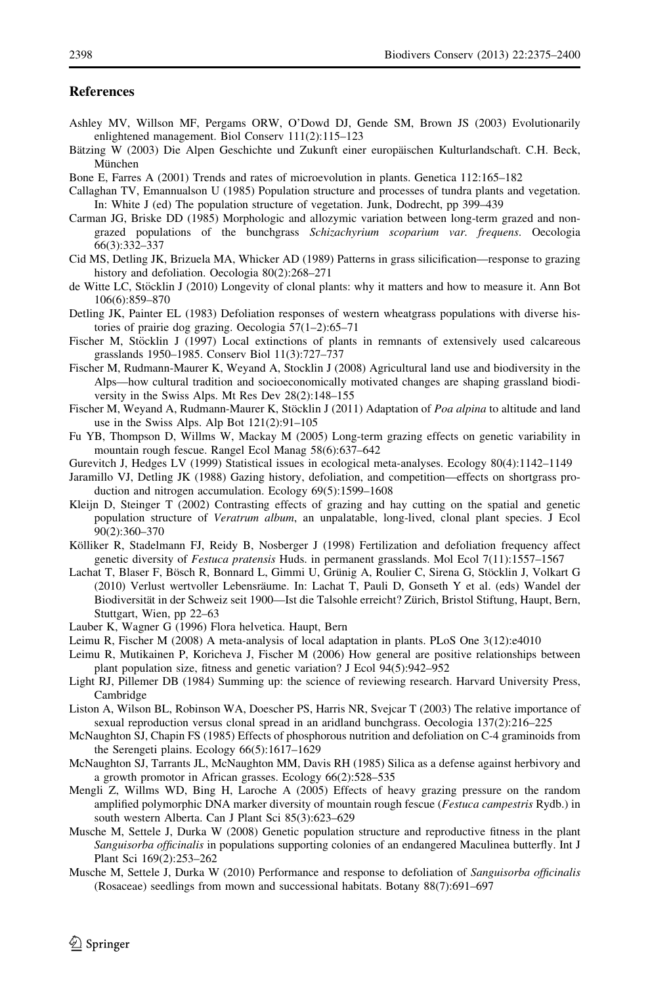## <span id="page-24-0"></span>**References**

- Ashley MV, Willson MF, Pergams ORW, O'Dowd DJ, Gende SM, Brown JS (2003) Evolutionarily enlightened management. Biol Conserv 111(2):115–123
- Bätzing W (2003) Die Alpen Geschichte und Zukunft einer europäischen Kulturlandschaft. C.H. Beck, München
- Bone E, Farres A (2001) Trends and rates of microevolution in plants. Genetica 112:165–182
- Callaghan TV, Emannualson U (1985) Population structure and processes of tundra plants and vegetation. In: White J (ed) The population structure of vegetation. Junk, Dodrecht, pp 399–439
- Carman JG, Briske DD (1985) Morphologic and allozymic variation between long-term grazed and nongrazed populations of the bunchgrass Schizachyrium scoparium var. frequens. Oecologia 66(3):332–337
- Cid MS, Detling JK, Brizuela MA, Whicker AD (1989) Patterns in grass silicification—response to grazing history and defoliation. Oecologia 80(2):268–271
- de Witte LC, Stöcklin J (2010) Longevity of clonal plants: why it matters and how to measure it. Ann Bot 106(6):859–870
- Detling JK, Painter EL (1983) Defoliation responses of western wheatgrass populations with diverse histories of prairie dog grazing. Oecologia 57(1–2):65–71
- Fischer M, Stöcklin J (1997) Local extinctions of plants in remnants of extensively used calcareous grasslands 1950–1985. Conserv Biol 11(3):727–737
- Fischer M, Rudmann-Maurer K, Weyand A, Stocklin J (2008) Agricultural land use and biodiversity in the Alps—how cultural tradition and socioeconomically motivated changes are shaping grassland biodiversity in the Swiss Alps. Mt Res Dev 28(2):148–155
- Fischer M, Weyand A, Rudmann-Maurer K, Stöcklin J (2011) Adaptation of Poa alpina to altitude and land use in the Swiss Alps. Alp Bot 121(2):91–105
- Fu YB, Thompson D, Willms W, Mackay M (2005) Long-term grazing effects on genetic variability in mountain rough fescue. Rangel Ecol Manag 58(6):637–642
- Gurevitch J, Hedges LV (1999) Statistical issues in ecological meta-analyses. Ecology 80(4):1142–1149
- Jaramillo VJ, Detling JK (1988) Gazing history, defoliation, and competition—effects on shortgrass production and nitrogen accumulation. Ecology 69(5):1599–1608
- Kleijn D, Steinger T (2002) Contrasting effects of grazing and hay cutting on the spatial and genetic population structure of Veratrum album, an unpalatable, long-lived, clonal plant species. J Ecol 90(2):360–370
- Kölliker R, Stadelmann FJ, Reidy B, Nosberger J (1998) Fertilization and defoliation frequency affect genetic diversity of Festuca pratensis Huds. in permanent grasslands. Mol Ecol 7(11):1557–1567
- Lachat T, Blaser F, Bösch R, Bonnard L, Gimmi U, Grünig A, Roulier C, Sirena G, Stöcklin J, Volkart G (2010) Verlust wertvoller Lebensräume. In: Lachat T, Pauli D, Gonseth Y et al. (eds) Wandel der Biodiversität in der Schweiz seit 1900—Ist die Talsohle erreicht? Zürich, Bristol Stiftung, Haupt, Bern, Stuttgart, Wien, pp 22–63
- Lauber K, Wagner G (1996) Flora helvetica. Haupt, Bern
- Leimu R, Fischer M (2008) A meta-analysis of local adaptation in plants. PLoS One 3(12):e4010
- Leimu R, Mutikainen P, Koricheva J, Fischer M (2006) How general are positive relationships between plant population size, fitness and genetic variation? J Ecol 94(5):942–952
- Light RJ, Pillemer DB (1984) Summing up: the science of reviewing research. Harvard University Press, Cambridge
- Liston A, Wilson BL, Robinson WA, Doescher PS, Harris NR, Svejcar T (2003) The relative importance of sexual reproduction versus clonal spread in an aridland bunchgrass. Oecologia 137(2):216–225
- McNaughton SJ, Chapin FS (1985) Effects of phosphorous nutrition and defoliation on C-4 graminoids from the Serengeti plains. Ecology 66(5):1617–1629
- McNaughton SJ, Tarrants JL, McNaughton MM, Davis RH (1985) Silica as a defense against herbivory and a growth promotor in African grasses. Ecology 66(2):528–535
- Mengli Z, Willms WD, Bing H, Laroche A (2005) Effects of heavy grazing pressure on the random amplified polymorphic DNA marker diversity of mountain rough fescue (Festuca campestris Rydb.) in south western Alberta. Can J Plant Sci 85(3):623–629
- Musche M, Settele J, Durka W (2008) Genetic population structure and reproductive fitness in the plant Sanguisorba officinalis in populations supporting colonies of an endangered Maculinea butterfly. Int J Plant Sci 169(2):253–262
- Musche M, Settele J, Durka W (2010) Performance and response to defoliation of Sanguisorba officinalis (Rosaceae) seedlings from mown and successional habitats. Botany 88(7):691–697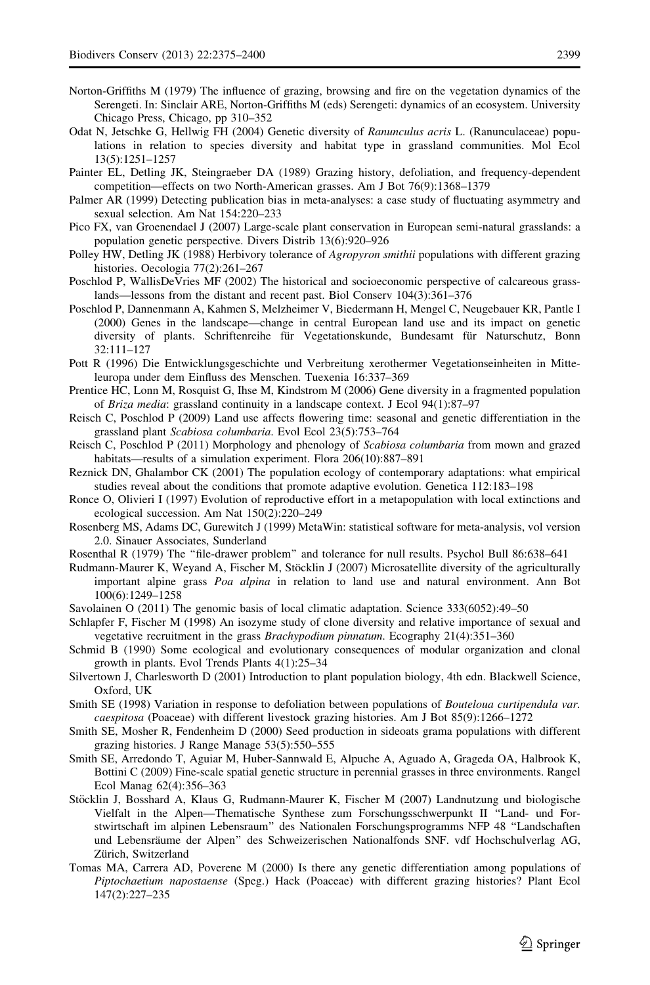- <span id="page-25-0"></span>Norton-Griffiths M (1979) The influence of grazing, browsing and fire on the vegetation dynamics of the Serengeti. In: Sinclair ARE, Norton-Griffiths M (eds) Serengeti: dynamics of an ecosystem. University Chicago Press, Chicago, pp 310–352
- Odat N, Jetschke G, Hellwig FH (2004) Genetic diversity of Ranunculus acris L. (Ranunculaceae) populations in relation to species diversity and habitat type in grassland communities. Mol Ecol 13(5):1251–1257
- Painter EL, Detling JK, Steingraeber DA (1989) Grazing history, defoliation, and frequency-dependent competition—effects on two North-American grasses. Am J Bot 76(9):1368–1379
- Palmer AR (1999) Detecting publication bias in meta-analyses: a case study of fluctuating asymmetry and sexual selection. Am Nat 154:220–233
- Pico FX, van Groenendael J (2007) Large-scale plant conservation in European semi-natural grasslands: a population genetic perspective. Divers Distrib 13(6):920–926
- Polley HW, Detling JK (1988) Herbivory tolerance of Agropyron smithii populations with different grazing histories. Oecologia 77(2):261–267
- Poschlod P, WallisDeVries MF (2002) The historical and socioeconomic perspective of calcareous grasslands—lessons from the distant and recent past. Biol Conserv 104(3):361–376
- Poschlod P, Dannenmann A, Kahmen S, Melzheimer V, Biedermann H, Mengel C, Neugebauer KR, Pantle I (2000) Genes in the landscape—change in central European land use and its impact on genetic diversity of plants. Schriftenreihe fu¨r Vegetationskunde, Bundesamt fu¨r Naturschutz, Bonn 32:111–127
- Pott R (1996) Die Entwicklungsgeschichte und Verbreitung xerothermer Vegetationseinheiten in Mitteleuropa under dem Einfluss des Menschen. Tuexenia 16:337–369
- Prentice HC, Lonn M, Rosquist G, Ihse M, Kindstrom M (2006) Gene diversity in a fragmented population of Briza media: grassland continuity in a landscape context. J Ecol 94(1):87–97
- Reisch C, Poschlod P (2009) Land use affects flowering time: seasonal and genetic differentiation in the grassland plant Scabiosa columbaria. Evol Ecol 23(5):753–764
- Reisch C, Poschlod P (2011) Morphology and phenology of Scabiosa columbaria from mown and grazed habitats—results of a simulation experiment. Flora 206(10):887–891
- Reznick DN, Ghalambor CK (2001) The population ecology of contemporary adaptations: what empirical studies reveal about the conditions that promote adaptive evolution. Genetica 112:183–198
- Ronce O, Olivieri I (1997) Evolution of reproductive effort in a metapopulation with local extinctions and ecological succession. Am Nat 150(2):220–249
- Rosenberg MS, Adams DC, Gurewitch J (1999) MetaWin: statistical software for meta-analysis, vol version 2.0. Sinauer Associates, Sunderland
- Rosenthal R (1979) The ''file-drawer problem'' and tolerance for null results. Psychol Bull 86:638–641
- Rudmann-Maurer K, Weyand A, Fischer M, Stöcklin J (2007) Microsatellite diversity of the agriculturally important alpine grass Poa alpina in relation to land use and natural environment. Ann Bot 100(6):1249–1258
- Savolainen O (2011) The genomic basis of local climatic adaptation. Science 333(6052):49–50
- Schlapfer F, Fischer M (1998) An isozyme study of clone diversity and relative importance of sexual and vegetative recruitment in the grass Brachypodium pinnatum. Ecography 21(4):351–360
- Schmid B (1990) Some ecological and evolutionary consequences of modular organization and clonal growth in plants. Evol Trends Plants 4(1):25–34
- Silvertown J, Charlesworth D (2001) Introduction to plant population biology, 4th edn. Blackwell Science, Oxford, UK
- Smith SE (1998) Variation in response to defoliation between populations of Bouteloua curtipendula var. caespitosa (Poaceae) with different livestock grazing histories. Am J Bot 85(9):1266–1272
- Smith SE, Mosher R, Fendenheim D (2000) Seed production in sideoats grama populations with different grazing histories. J Range Manage 53(5):550–555
- Smith SE, Arredondo T, Aguiar M, Huber-Sannwald E, Alpuche A, Aguado A, Grageda OA, Halbrook K, Bottini C (2009) Fine-scale spatial genetic structure in perennial grasses in three environments. Rangel Ecol Manag 62(4):356–363
- Stöcklin J, Bosshard A, Klaus G, Rudmann-Maurer K, Fischer M (2007) Landnutzung und biologische Vielfalt in the Alpen—Thematische Synthese zum Forschungsschwerpunkt II ''Land- und Forstwirtschaft im alpinen Lebensraum'' des Nationalen Forschungsprogramms NFP 48 ''Landschaften und Lebensräume der Alpen" des Schweizerischen Nationalfonds SNF. vdf Hochschulverlag AG, Zürich, Switzerland
- Tomas MA, Carrera AD, Poverene M (2000) Is there any genetic differentiation among populations of Piptochaetium napostaense (Speg.) Hack (Poaceae) with different grazing histories? Plant Ecol 147(2):227–235